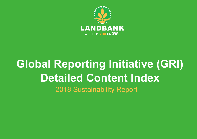

#### **ECOnOMIC DEVELOPMEnT**  $\blacksquare$   $\blacksquare$ Performance in the second series of the series of the series of the series of the series of the series of the s • Market Presence  $\sim$  Processes  $\sim$  20 • Customer Health and Safety Safety • Occupational Health and **Global Reporting Initiative (GRI) EnVIROnMEnTAL PROTECTION**  $\cdot$  Diritty the organization nahility Ré 2018 Sustainability Report **Detailed Content Index**

 $102-44$  ,  $102-44$  ,  $102-44$  ,  $102-44$  ,  $102-44$  ,  $102-44$  ,  $102-44$  ,  $102-44$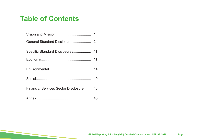# **Table of Contents**

|                                         | 14 |
|-----------------------------------------|----|
|                                         |    |
| Financial Services Sector Disclosure 43 |    |
|                                         | 45 |

**18 LANDBANK 2016-2017** Sustainability Report **19**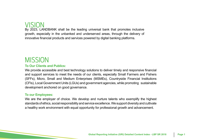# VISION

**GENERAL**  $\alpha$ ,  $\alpha$  and  $\alpha$  and  $\alpha$ growth, especially in the unbanked and underserved areas, through the delivery of e financial products and services powered by digital banking **EMPLOYEE DEVELOPMEnT** By 2023, LANDBANK shall be the leading universal bank that promotes inclusive innovative financial products and services powered by digital banking platforms.

# **MISSION**

## **To Our Clients and Publics:**

nort services to meet the needs of our clients, especially Small Farmers and Fishers  $\overline{\phantom{a}}$  $P<sub>PI</sub>$   $O<sub>1</sub>$   $O<sub>1</sub>$   $O<sub>1</sub>$ (CFIs), Local Government Units (LGUs) and government agencies, while promoting  $\,$  sustainable  $\,$ development anchored on good governance.  $\bullet$  Processes  $\bullet$  $\ddot{\mathbf{r}}$ (SFFs), Micro, Small and Medium Enterprises (MSMEs), Countryside Financial Institutions and support services to meet the needs of our clients, especially Small Farmers and Fishers We provide accessible and best technology solutions to deliver timely and responsive financial

## **To our Employees:**

We are the employer of choice. We develop and nurture talents who exemplify the highest Summar Satisfaction Satisfaction Satisfaction Satisfaction Satisfaction Satisfaction Satisfaction Satisfaction Sa tandards of ethics, social responsibility and service excellence. We support diversity and cultivate  $\mathcal{L}^{\text{max}}$ a healthy work environment with equal opportunity for professional growth and advancement.  $\mu$ collongo  $M$ equat standards of ethics, social responsibility and service excellence. We support diversity and cultivate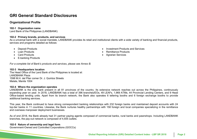## **GRI General Standard Disclosures**

#### **Material Topics Identified by Stakeholders Organizational Profile**

### **GEnERAL 102-1 Organization name**

Land Bank of the Philippines (LANDBANK)

#### $\mathcal{P}=\{p_1,\ldots,p_n\}$ • Corporate Governance **102-2 Primary brands, products, and services**

nd financial pro e social manuale, EANDDANN<br>letailed as follows: services and programs detailed as follows:  $\mathcal{F}^{\text{max}}_{\text{max}}$ As a universal bank with a social mandate, LANDBANK provides its retail and institutional clients with a wide variety of banking and financial products,

- Deposit Products
- Loan Products
- Card Products
- E-banking Products

*For a complete list of Bank's products and services, please see Annex B.* 

#### **102-3 Headquarters location**

**ECOnOMIC DEVELOPMEnT** The Head Office of the Land Bank of the Philippines is located at: er Dr. L. Quintos, Streets 1598 M.H. del Pilar corner Dr. J. Quintos Streets<br>Melete, Manile 1004 LANDBANK Plaza Malate, Manila 1004

#### 102-4 Where the organization operates

bank present in all 81 • Financial Assistance to LGUs LANDBANK is the only bank present in all 81 provinces of the country. Its extensive network reaches out across the Philippines, continuously expanding year on year. In 2010, EXNDBANK has a total of 350 branches/LOS, 45 LLAFS, 1,509 ATMS, 44 Frovincial Lending Centers, and 5 Fread<br>Office-based lending units. Apart from its branch network, the Bank also operates hearing and communicationsexpanding year on year. In 2018, LANDBANK has a total of 396 branches/EOs, 49 LEAFs, 1,969 ATMs, 44 Provincial Lending Centers, and 9 Head additional banking services.

Bank continued to have strong correspondent banking relationships with 232 foreign banks and maintained deposit accounts with 24 The year, are Bank commode to here caving concepting the banking relationships with 158 foreign banks and maintance deposit decedrite that ET<br>top-tier banks in 11 countries. Likewise, the Bank nurtures healthy partnerships  $\sim$  Online and Mobile Banking Software rop-der Danks in TYP countries. Eikewise, the Dan<br>and overseas manpower deployment businesses. This year, the Bank continued to have strong correspondent banking relationships with 232 foreign banks and maintained deposit accounts with 24

.<br>B, the Bank already had 31 partner paying agents composed of commercial banks, rural banks and pawnshops. Including LANDBANK As of end 2018, the Bank already had 31 partner paying agents composed of commercial banks, rural banks and pawnshops. Including LANDBANK<br>handless the naviout naturalise commerced of 4.935 sutlate branches, the pay-out network is composed of 4,935 outlets.

#### **102-5 Nature of ownership and legal form**

102-44, 102-46, 102-47 201-1, 201-4 Government-Owned and Controlled Corporations (GOCCs)

- $\bullet$  Investment Products • Investment Products and Services
	- Remittance Products
	- $\bullet$  Agrarian Services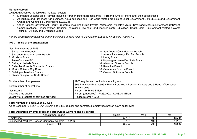#### **Markets served**

LANDBANK serves the following markets / sectors:

- Mandated Sectors: Small Farmer including Agrarian Reform Beneficiaries (ARB) and Small Fishers, and their associations
- **•** Agriculture and Fisheries: Agri-business, Aqua-business and Agri-Aqua-related projects of Local Government Units (LGUs) and Government-Owned and Controlled Corporations (GOCCs)
- Communications, Transportation, Housing (socialized, low-cost, and medium-cost), Education, Health Care, Environment-related projects, Tourism , Utilities, and Livelihood Loans Other National Government Priority Programs (including Public-Private Partnership Projects): Micro, Small and Medium Enterprises (MSMEs),

 $\mathcal{L}^{\text{max}}$ *For the geographic breakdown of markets served, please refer to LANDBANK Loans to All Sectors (Annex A).*<br>.

#### **102-7** Scale of the organization  $\frac{1}{2}$

New Branches as of 2018:

- 1. Samal Island Branch
- 2. San Juan Southern Leyte Branch
- 3. Moalboal Branch
- 4. Tuao Cagayan EO
- 5. Cabagan Isabela Branch
- 6. Calamba Misamis Occidental Branch
- 7. Muñoz Science City Branch
- 8. Cataingan Masbate Branch
- **EXAMPLE DEVELOPMENT**  $\kappa$  *Diamon* 9. Claver Surigao Del Norte Branch
- 10. San Andres Catanduanes Branch TU. Sali Aliules C.
	- 11. Aurora Zamboanga Del Sur Branch
	- 12. Limay Branch
- 12. Einlay Branch<br>13. Kapatagan Lanao Del Norte Branch
	- 15. Rapatagan Lanao Berrior<br>14. Atimonan Quezon Branch
	- 15. Romblon Branch
	- 16. Catanauan Quezon Branch
- 17. Quezon Bukidnon Branch

| Total number of employees                 | 9883 regular and contractual employees                                                               |
|-------------------------------------------|------------------------------------------------------------------------------------------------------|
| Total number of operations                | 396 Branches/EOs, 1,969 ATMs, 44 provincial Lending Centers and 9 Head Office-based<br>lending units |
| Net income                                | Parent - P 16.59 Billion                                                                             |
| Total Paid-up capital                     | Parent (unaudited) – P 26, 290, 777, 708.00 Million                                                  |
| Quantity of products or services provided | Please refer to 102-2                                                                                |

#### **Total number of employees by type**

crimate compressed by type<br>r 31, 2018, LANDRANK has 9,883 requiar and contractual employees broken down as fol As of December 31, 2018, LANDBANK has 9,883 regular and contractual employees broken down as follows:

#### • Waste Management **Total workforce by employees and supervised workers and by gender**

| Total workforce by employees and supervised workers and by gender |        |       |       |
|-------------------------------------------------------------------|--------|-------|-------|
| <b>Appointment Status</b>                                         | Female | Male  | Total |
| <b>Employees</b>                                                  | 5,797  | 2,802 | 8,599 |
| Supervised Workers (Service Company Workers - SCWs)               | 787    | 497   | .284  |
| Grand Total                                                       | 6,584  | 3,299 | 9,883 |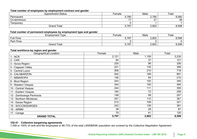#### **Total number of employees by employment contract and gender**

| <b>Appointment Status</b> | Female | Male                 | Total |
|---------------------------|--------|----------------------|-------|
| Permanent                 | 5,780  | 2,780                | 8,560 |
| Co-terminous              |        | $\Omega$<br><u>_</u> | 38    |
| Temporary                 |        |                      |       |
| <b>Grand Total</b>        | 5,797  | 2,802                | 8,599 |
|                           |        |                      |       |

## **Total number of permanent employees by employment type and gender**

| 1.11                   |        |       |       |
|------------------------|--------|-------|-------|
| <b>Employment Type</b> | Female | Male  | Total |
| Full-Time              | 5,797  | 2,802 | 8,599 |
| Part-Time              |        |       |       |
| Grand Total            | 5,797  | 2,802 | 8,599 |
|                        |        |       |       |

#### **Total workforce by region and gender**

| <b>Geographical Location</b> | Female | Male  | Total |
|------------------------------|--------|-------|-------|
| $1 - NCR$                    | 2,121  | 1,109 | 3,230 |
| $2 - CAR$                    | 84     | 37    | 121   |
| 3 - Ilocos Region            | 230    | 96    | 326   |
| 4 - Cagayan Valley           | 221    | 135   | 356   |
| 5 - Central Luzon            | 508    | 210   | 718   |
| 6 - CALABARZON               | 502    | 189   | 691   |
| 7 - MIMAROPA                 | 146    | 64    | 210   |
| 8 - Bicol Region             | 243    | 102   | 345   |
| 9 - Western Visayas          | 344    | 150   | 494   |
| 10 - Central Visayas         | 244    | 111   | 355   |
| 11 - Eastern Visayas         | 184    | 72    | 256   |
| 12 - Zamboanga Peninsula     | 148    | 99    | 247   |
| 13 - Northern Mindanao       | 251    | 110   | 361   |
| 14 - Davao Region            | 212    | 109   | 321   |
| 15 - SOCCSKSARGEN            | 242    | 139   | 381   |
| <b>16 - ARMM</b>             | 38     | 29    | 67    |
| 17 - Caraga                  | 79     | 41    | 120   |
| <b>GRAND TOTAL</b>           | 5,797  | 2,802 | 8,599 |

#### **102-41 Collective bargaining agreements**

7,458 or 100% of rank-and-file employees or 86.73% of the total LANDBANK population are covered by the Collective Negotiation Agreement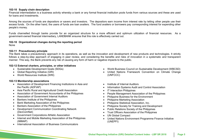#### **102-10 Supply chain description**

Financial intermediation is a business activity whereby a bank or any formal financial institution pools funds from various sources and these are used for loans and investments.

**Material Topics Identified by Stakeholders** Among the sources of funds are depositors or savers and investors. The depositors earn income from interest rate by letting other people use their excess funds. On the other hand, the users of funds are loan availers. The fund availers or borrowers pay corresponding interest for expending other people's money.

financial resources. As a  $\mathbf{r}$  and  $\mathbf{r}$  and  $\mathbf{r}$  and  $\mathbf{r}$  and  $\mathbf{r}$  and  $\mathbf{r}$  and  $\mathbf{r}$  and  $\mathbf{r}$ ابان العام اليان<br>Loial intermedia government-owned financial intermediary, LANDBANK ensures that this role is effectively carried out.<br>. Funds channelled through banks provide for an organized structure for a more efficient and optimum utilization of financial resources. As a

#### 102-10 Organizational changes during the reporting period  $\overline{a}$

None

#### **102-11 Precautionary principle**

Collective Bargaining The Bank takes a precautionary approach in its operations, as well as the innovation and development of new products and technologies. It strictly Fire Bank lakes a preseduorially approach in its operations, as well as the innovation and development of now products and technologies. It cliedly entitive through a strep the preparational engaging in previously, then constraining the mathematic interaction  $\sim$  3  $\sim$ 

#### **102-12 External charters, principles, or other initiatives**

- Sustainable Development Goals (SDGs)
- **EQUIPMENT**<br>The Contract of Contract of Contract of Contract of Contract of Contract of Contract of Contract of Contract of Contract of Contract of Contract of Contract of Contract of Contract of Contract of Contract of Co • Global Reporting Initiative (GRI)
- $\bullet$   $\,$  World Resources Institute (WRI)  $\,$

## **102-13 Membership associations**

- Association of Development Financing Institutions in Asia and the Pacific (ADFIAP)  $\overline{\phantom{a}}$
- Asia Pacific Rural and Agricultural Credit Association
- Association of Government Accountants of the Philippines
- Association of Government Internal Auditors
- Bankers Institute of the Philippines
- Bank Marketing Association of the Philippines
- **LEGEN MELLOWING TO CONSIGN THE PRIME STATE**
- Development Communication Coordinating Network (DevComNet)
- Government Corporations Athletic Association
- Internet and Mobile Marketing Association of the Philippines (IMMAP)
- International Association of Business Communicators
- World Business Council on Sustainable Development (WBCSD)
- **•** United Nations Framework Convention on Climate Change **PROTECTIOn** (UNFCCC)
- Institute of Internal Auditors
	- Information Systems Audit and Control Association
- IT Interaction Philippines
- People Management Association of the Philippines
- $\mathsf{ent}$ • Philippine Business for the Environment
- Philippine Marketing Association
	- Philippine Statistical Association, Inc.
	- Philippine Statistical Accordation, the change of Philippine Society for Training and Development
		- Trimppine Society for Training and Bevelopment<br>• Public Relations Society of the Philippines
- Trust Officers Association of the Philippines
- • Water consumption within the UN Global Compact
	- United Nations Environment Programme Finance Initiative (UNEPFI)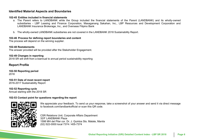### **Identified Material Aspects and Boundaries**

#### **102-45 Entities included in financial statements**

- LANDBANK Insurance Brokerage, Inc., and Overseas Filipino Bank **EMPLOYEE DEVELOPMEnT** a. The Parent refers to LANDBANK while the Group included the financial statements of the Parent (LANDBANK) and its wholly-owned subsidiaries - LBP Leasing and Finance Corporation, Masaganang Sakahan, Inc., LBP Resources and Development Corporation and
- t LANDRANK subsidiaries are not covered in the LANDRANK 2018 Susta b. The wholly-owned LANDBANK subsidiaries are not covered in the LANDBANK 2018 Sustainability Report.<br>.

#### 102-46 Process for defining report boundaries and content

The process will depend on the winning supplier.

**102-48 Restatements** The answer provided will be provided after the Stakeholder Engagement.

## **102-49 Changes in reporting**

2018 SR will shift from a biannual to annual period sustainability reporting

## **Report Profile**

**ECOnOMIC DEVELOPMEnT 102-50 Reporting period** 2018

**102-51 Date of most recent report** 2016-2017 Sustainability Report

wz-52 Reporting cycle<br>Annual starting with the 2018 SR **102-52 Reporting cycle**

#### **102-53 Contact point for questions regarding the report**



sponse, take a screenshot of vour answer and send it via direct message We appreciate your feedback. To send us your response, take a screenshot of your answer and send it via direct message<br>. to facebook.com/landbankofficial or scan this QR code.

**THE** CSR Relations Unit, Corporate Affairs Department  $\mathsf{R}$  and  $\mathsf{R}$  with the constant  $\mathsf{R}$ 32/F LANDBANK Plaza 1598 MH del Pilar cor. Dr. J. Quintos Sts. Malate, Manila (02) 522-0000 local 7374 / 405-7374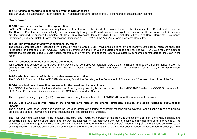#### **102-54: Claims of reporting in accordance with the GRI Standards**

The Bank's 2018 Sustainability Report follows the "In accordance: Core" option of the GRI Standards of sustainability reporting.

#### **Material Topics Identified by Stakeholders Governance**

#### **102-18 Governance structure of the organization**

Tuz-To Governance structure of the organization<br>LANDBANK follows a governance hierarchy that is led from the top by the Board of Directors chaired by the Secretary of the Department of Finance. LANDBANN TOllows a governance merarcriy that is led from the top by the Board of Directors challed by the Secretary of the Department of Finance.<br>The Board of Directors functions distinctly and harmoniously through six Com es Beard fever Sommitteed<br>m) Cornorate Governance Corporato Coronnal Fire Dear of Director Tanenario archites, and namedially arresgiven committee may everygive experientified these Dears for committee<br>are: the Audit and Compliance Committee (AC Com), Risk Oversight Committee (Risk Com), Tr Committee (CG Com), Related Party Transactions Committee (RPT Com) and the Agri-Agra Social Concerns Committee. Education

#### $\mathcal{P}^{\text{max}}_{\text{max}}$  (  $\mathcal{P}^{\text{max}}_{\text{max}}$  ) and  $\mathcal{P}^{\text{max}}_{\text{max}}$ 102-20 High-level accountability for sustainability topics

The Bank's Corporate Social Responsibility Technical Working Group (CSR-TWG) is tasked to review and identify sustainability indicators applicable to the Bank, and propose to MANCOM/CSR Steering Committee a matrix of GRI indicators and report outline. The CSR-TWG also regularly meets to discuss the preparation status of sustainability reporting, and it reviews and edits the reports submitted by concerned contributors for inclusion in the report.

#### **102-22 Composition of the board and its committees**

With LANDBANK considered as a Government-Owned and Controlled Corporation (GOCC), the nomination and selection of its highest governing body is governed by the LANDBANK Charter, the GOCC Governance Act of 2011 and Governance Commission for GOCCs (GCG) Memorandum Circulars.

### 102-23 Whether the chair of the board is also an executive officer

of the LANDBA The Ex-Officio Chairman of the LANDBANK Governing Board, the Secretary of the Department of Finance, is NOT an executive officer of the Bank.

#### $\mathbf{r} = \mathbf{r} \cdot \mathbf{r}$  and  $\mathbf{r} = \mathbf{r} \cdot \mathbf{r}$  and  $\mathbf{r} = \mathbf{r} \cdot \mathbf{r}$  and  $\mathbf{r} = \mathbf{r} \cdot \mathbf{r}$ **102-24 Nomination and selection processes for the board and its committees**

d selection processes for the board and its committees<br>nomination and selection of the highest governing body is governed by the LANDBANK Charter, the GOCC Governance Act Frommation and colocitor<br>• Commission for GOCCs As a GOCC, the Bank's nomination and selection of the highest governing body is governed by the LANDBANK Charter, the GOCC Governance Act<br>of 2011 and Covernance Commission for COCCs (CCC) Marcography: Circulars of 2011 and Governance Commission for GOCCs (GCG) Memorandum Circulars.

 $\bullet$  Marketing and  $\bullet$  Marketing and  $\bullet$  Marketing and  $\bullet$  $\frac{1}{2}$  of the LANDRA The Bangko Sentral ng Pilipinas (BSP) designates from among the members of the LANDBANK Board the Independent Directors.<br>-

#### Surveys, Information and **LEGEnD** promonte etratorios 102-26 Board and executives' roles in the organization's mission statements, strategies, policies, and goals related to sustainability<br><sup>imnacts</sup> **impacts**

mpacte<br>The Audit and Compliance Committee assists the Board of Directors in fulfilling its oversight responsibilities over the Bank's financial reporting policies, First rather that sompliance seminated accrete the search of subsection rathering its even eight recipied practices and control, internal and external audit functions, and compliance functions.

• Stakeholder Mapping and The Risk Oversight Committee fulfills statutory, fiduciary, and regulatory services of the Bank. It assists the Board in identifying, defining, and banking industry. It also acts as the oversight committee for the Bank's implementation of the Internal Capital Adequacy Assessment Process (ICAAP). assessing risks at all levels of the Bank, and ensures the alignment of risk objectives with overall business strategies and performance goals. The committee is also in charge of developing a continuing education program to enhance its members' understanding of relevant issues pertaining to the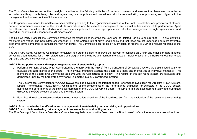**Material Topics Identified by Stakeholders** The Trust Committee serves as the oversight committee on the fiduciary activities of the trust business, and ensures that these are conducted in accordance with applicable laws, rules and regulations, internal policies and procedures, with the required skill, care, prudence, and diligence in the management and administration of fiduciary assets.

**COMMUNITY** PERSON rifough organiza periodic performance evaluation of the Board, its committees and the executive management, and annual self-evaluation of its performance. Apart<br>from these, the committee also studies and recommends policies to ensure appro procedural controls and independent audit mechanisms. • Employment-Benefits-The Corporate Governance Committee oversees matters pertaining to the organizational structure of the Bank, its selection and promotion of officers, periodic performance evaluation of the Board, its committees and the executive management, and annual self-evaluation of its performance. Apart

The Related Party Transactions Committee evaluates the transactions involving the Bank and its Related Parties to ensure that RPTs are identified, monitored and vetted. The Committee ensures that RPTs are entered into at arm's length basis and that these are not undertaken on more favorable economic terms compared to transactions with non-RPTs. The Committee ensures timely submission of reports to BSP and regular reporting to the BOD.

The Agri-Agra Social Concerns Committee formulates non-credit policies to improve the delivery of services on CARP and other agri-agra matters; serves as clearing house for CARP-related non-credit programs of the Bank; and monitors the status of implementation of the Banks various non-credit agri-agra and social concerns programs.

#### **102-28 Board performance with respect to governance of sustainability topics**

members of the Board-level Committees also evaluate the Committees as a body. The results of this self-rating system are evaluated and deliberated upon by the Corporate Governance Committee in a duly constituted meeting. a. Performance rating sheets, which was drafted by the Bank with the help of from the Institute of Corporate Directors are disseminated yearly to evaluate the performance of the Board. The individual members evaluate the Board as a body and themselves as individual members. The

The Governance Commission for GOCCs (GCG) has also developed the internet-based Performance Evaluation for Directors (iPED) System.<br>Entertainment of the Consultation of the Consultation of the Consultation of the Consultat Director Performance Review (DPR), which is one of the components of the Performance Evaluation for Directors in the GOCC Sector, appraises the performance of the individual members of the<br>directly to the GCG by each director thru the iPED System. for a lift in the COOO Geotor,<br>ished veasive and submitted appraises the performance of the individual members of the GOCC Governing Board. The DPR Forms are accomplished yearly and submitted<br>directly to the GCG by each director thru the iPFD System

the results of the self-rating  $\cdot$  GHG emissions in Fig. 1. b. Each Board-level committee considers the recommendation/ directives of the Board resulting from the evaluation of the results of the self-rating<br>cyctom system.

## **LEGEnD** climate change, communities **102-29 Board role in the identification and management of sustainability impacts, risks, and opportunities**

#### Tole in the identification and management of sustainability impa<br>rola in reviewing risk management processes for sustainability to **102-30 Board role in reviewing risk management processes for sustainability topics**

Toz-50 Board Tole in reviewing Hak management processes for sustamability topics<br>The Risk Oversight Committee, a Board-level Committee, regularly reports to the Board, and the Board notes/confirms the reports or makes dire • Water consumption within the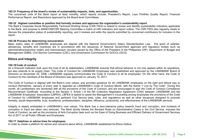#### **102-31 Frequency of the board's review of sustainability impacts, risks, and opportunities**

**Material Topics Identified by Stakeholders** The concerned units of the Bank report at least monthly, which reports include, President's Report, Loan Portfolio Quality Report, Financial Performance Report, and Resolutions approved by the Board-level Committees.

#### **102-32 Highest committee or position that formally reviews and approves the organization's sustainability report**

The Bank's Corporate Social Responsibility Technical Working Group (CSR-TWG) is tasked to review and identify sustainability indicators applicable<br>to the Bank, and propose to MANCOM/CSR Steering Committee a matrix of GRI i **DEX** DEGELOPMENT<br>DEVELOPMENT CONTROLLS  $\sim$  Community Equation  $\sim$ discuss the preparation status of sustainability reporting, and it reviews and edits the reports submitted by concerned contributors for inclusion in the competition in the competition of the competition of the competition of the competition of the competition of the competition of the competition of the competition of the competition of the competition of the competition o The Bank's Corporate Social Responsibility Technical Working Group (CSR-TWG) is tasked to review and identify sustainability indicators applicable report.

### **102-36 Process for determining remuneration**

Basic salary rates of LANDBANK employees are aligned with the National Government's Salary Standardization Law. The grant of salaries, allowances, benefits and incentives are in accordance with the issuances of National Government agencies and regulatory bodies such as administrative/executive orders and memorandum circulars issued by the Office of the President of the Philippines (OP), Department of Budget and Management (DBM), Civil Service Commission (CSC), and Governance Commission for GOCCs (GCG).

#### **Ethics and Integrity**

#### **102-16 Code of conduct**

**EXTERT PRELATIVE THE RELATIONS CONTROLLATED INTERFERTMENT COMPUTER RELATIONS** FOR THE RELATIONS IN THE RELATIONS **PROTECTION CONTROL 2018 CONDUCT** FOR THE FORMATION CONDUCT THE CONDUCT OF DURING CONDUCT TO CONDUCT THE CONDUCT OF CONDUCT TO CONDUCT THE CONDUCT OF CONDUCT THE CONDUCT OF CONDUCT THE CONDUCT OF CONDUCT THE CONDUCT OF CON As a financial institution built upon the trust of all its stakeholders, LANDBANK ensures that ethical behavior is not only applied within its operations, but also extends to its supply chain. The Code of Conduct for LANDBANK Employees was established and approved by the LANDBANK Board of

The Code of Conduct is aligned with the Bank's core values, and provides guidance for all LANDBANK employees on the right and ethical way to and the right and ethical way to conduct themselves. January of every year is regarded as LANDBANK's Code of Conduct Month, with the theme "I Live by The Code". During this month, all Landbarkers are redifficed with all the provisions of the Code of Conduct, and are encouraged to sign the Code of Conduct Compilance<br>Recommitment Certificate. According to the Section 3, Article I of the 6th Col by The Coue . During ans<br>do of Conduct Compliance LANDBANK Employees' Association (LBPEA), LBPEA is tasked to assist the Management in inculcating among employees the provisions of the Code of Conduct for LANDBANK employees and pertinent Civil Service laws, rules, and regulations as well as other issuances designed to promote rules, and regulations as well as other issuances designed to promote<br>efficiency, productivity, and effectiveness of the LANDBANK services. month, all Landbankers are reoriented with all the provisions of the Code of Conduct, and are encouraged to sign the Code of Conduct Compliance<br> honesty, social responsibility, trust, excellence, professionalism, discipline, efficiency, productivity, and effectiveness of the LANDBANK services.<br>.

oly embedded in LANDBANK's core values. The Bank has a zero-tolerance policy towards fraud and corruption, and inci entrying to the program and the state of the Canada interview of the Boundary of the program of the Civil Service, imposes the corruption or fraud are taken very seriously. The Bank strictly follows the Revised Rules on Ad corruption of fradd are taken very senodsly. The Bank strictly follows the Revised Rules on Administrative Cases in the Civil Service, imposes the<br>Code of Conduct, as well as the provisions of Anti-Corruption laws such as Act of 2017 on all Public Officials and Employees. Integrity is deeply embedded in LANDBANK's core values. The Bank has a zero-tolerance policy towards fraud and corruption, and incidents of  $\cdots$  and the consumer with  $\cdots$ 

#### **102-17 Helplines or advice lines for employees**

In order to create a platform for advice and concerns about ethics, LANDBANK established its Ethics Hotline.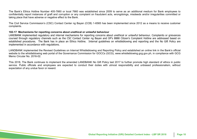**Material Topics Identified by Stakeholders** The Bank's Ethics Hotline Number 405-7660 or local 7660 was established since 2009 to serve as an additional medium for Bank employees to confidentially report instances of graft and corruption or any complaint on fraudulent acts, wrongdoings, misdeeds and/or irregularities committed or taking place that have adverse or negative effect to the Bank.

The Civil Service Commission's (CSC) Contact Center ng Bayan (CCB) 1-6565 has been implemented since 2012 as a means to receive customer complaints.

## 102-17 Mechanisms for reporting concerns about unethical or unlawful behaviour

on the community of reporting concerne about anomical or amatrical senation.<br>LANDBANK implemented regulatory and internal mechanisms for reporting concerns about unethical or unlawful behaviour. Complaints or grievances Extractive implemented regulatory and internal mechanisms for reporting echeems about anemed or aniatival behaviour: complaints or grievances<br>coursed through regulatory channels such as the CSC Contact Center ng Bayan and coursed unough regulatory channels such as the CSC Contact Center hy Bayan and Or's 6666 Chizen's Complaint Houme are addressed based on implemented in accordance with regulations. • Ethical Operations and

LANDBANK implemented the Revised Guidelines on Internal Whistleblowing and Reporting Policy and established an online link in the Bank's official website to the whistleblowing web portal of the Governance Commission for GOCCs (GCG), www.whistleblowing.gcg.gov.ph, in compliance with GCG Agreements Memo Circular No. 2016-02

This 2018, The Bank continues to implement the amended LANDBANK No Gift Policy last 2017 to further promote high standard of ethics in public service. Public officials and employees are expected to conduct their duties with utmost responsibility and unbiased professionalism, without expectation of any undue favor or reward.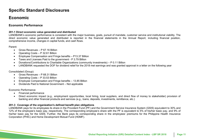## **Specific Standard Disclosures**

#### **Material Topics Identified by Stakeholders Economic**

#### **GENERAL Economic Performance**

## **201-1 Direct economic value generated and distributed**

LANDBANK's economic performance is consistent with the major business, goals, pursuit of mandate, customer service and institutional viability. The calculation recomments. direct economic value generated and distributed is reported in the financial statements in the Annual Report, including financial position, comprehensive income, changes in capital funds, and cash flows.

#### Parent:

- Gross Revenues P 67.16 Billion
- Operating Costs P 32.61 Billion
- Employee Compensation and Fringe benefits P13.37 Billion
- Taxes and Licenses Paid to the government P 3.79 Billion
- Donations/Contributions to Charitable Organizations (community investments) P 0.11 Billion
- LANDBANK requested the DOF for dividend relief for the 2018 met earnings and was granted approval in a letter on the following year

Consolidated (Group):

- **•** Gross Revenues P 68.31 Billion
- Operating Costs P 33.53 Billion
- Employee Compensation and Fringe benefits 13.85 Billion
- Dividends Paid to National Government Not applicable

#### Economic Performance

- Financial performance
- $\mathbf{r}$  and  $\mathbf{r}$  and  $\mathbf{r}$   $\mathbf{r}$  and  $\mathbf{r}$   $\mathbf{r}$  $\sigma$  stakeholder) provision of • Direct economic impact (e.g., employment opportunities, local hiring, local suppliers, and direct flow of money to stakeholder) provision of banking and other financial products and services (e.g., loans, deposits, investments, remittance, etc.)

#### **LEGEnD 201-3 Coverage of the organization's defined benefit plan obligations**

Communication EXINDDANN pays for its employees its share in the Frovident Fund (FF) and the Government Service msurance System (GSIS) equivalent to 50% and<br>12% of the employee's basic pay, respectively. The corresponding employee's shar r Dasic pay,<br>Die Linder his/her basic pay for the GSIS. Further, the Bank pays its corresponding share in the employees' premiums for the Philippine Health Insurance<br>Corporation (PHIC) and Home Development Mutual Eund (HDME) LANDBANK pays for its employees its share in the Provident Fund (PF) and the Government Service Insurance System (GSIS) equivalent to 30% and Institute basic pay for the GSIS. Further, the Bank pays its correlation (PHIC) and Home Development Mutual Fund (HDMF).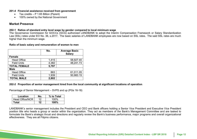#### **201-4 Financial assistance received from government**

- Tax credits P 1.65 Billion (Parent)
- **Material Topics Identified by Stakeholders** • 100% owned by the National Government

#### **Market Presence**

#### 202-1 Ratios of standard entry level wage by gender compared to local minimum wage<br>The *Courr*nance Commission for COCCs (CCC) authorized LANDRANK to adopt the litter carmmmum wage<br>Kital adamt the Interimal

or salary standardization<br>bidden-bidden ald SSL rates are m  $20$  No. 36 e 21 end (PPL) and the minimum wage. • Risks, Impacts, Opportunities The Governance Commission for GOCCs (GCG) authorized LANDBANK to adopt the Interim Compensation Framework or Salary Standardization Law (SSL) rates under EO No. 36, s.2017. The basic salaries of LANDBANK employees are now based on SSL rates. The said SSL rates are much<br>bigher than the minimum wage

#### **Ratio of basic salary and remuneration of women to men**

|                     | No.   | <b>Average Basic</b><br><b>Salary</b> |
|---------------------|-------|---------------------------------------|
| <b>Female</b>       |       |                                       |
| <b>Head Office</b>  | 1,415 | 58,927.40                             |
| <b>Field Units</b>  | 4,382 | 48,241.73                             |
| <b>TOTAL FEMALE</b> | 5,797 |                                       |
| <b>Male</b>         |       |                                       |
| <b>Head Office</b>  | 863   | 61,011.05                             |
| <b>Field Units</b>  | 1,939 | 50,983.15                             |
| <b>TOTAL MALE</b>   | 2,802 |                                       |

#### wick management hired from the local community at significant locations • Market Presence the organization **202-2 Proportion of senior management hired from the local community at significant locations of operation**

Percentage of Senior Management – SVPS and up (PGs 16-18)

| 100% |
|------|
| 100% |
|      |

LANDBANK's senior management includes the President and CEO and Bank officers holding a Senior Vice President and Executive Vice President<br>La sitter title who handle sensum an expresion within the executive Theoret as weak position title who heads a group or sector within the organization. They act as members of the Bank's Management Committee and are tasked to formulate the Bank's strategic thrust and directions and regularly review the Bank's business performance, major programs and overall organizational<br>offectivences. They are all Eilinine eitizens effectiveness. They are all Filipino citizens.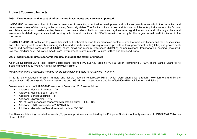### **Indirect Economic Impacts**

## **Material Topics Identified by Stakeholders 203-1 Development and impact of infrastructure investments and services supported**

underserved areas of the country while remaining financially viable. The Bank continued to expand its loan portfolio to its priority sectors: the farmers and fishers, small and medium enterprises and microenterprises, livelihood loans and agribusiness, agri-infrastructure and other agriculture and environment-related projects, socialized housing, schools and hospitals. LANDBANK remains to be by far the largest formal credit institution in the<br>rural arece LANDBANK remains committed to its social mandate of promoting countryside development and inclusive growth especially in the unbanked and rural areas.

ntinued to provide financial and technical support to its manda and other priority sectors, which include agriculture and aqua-business, agri-aqua related projects of local government units (LGUs) and government-<br>and other priority sectors, which include agriculture and aqua-business, and other prionty sectors, when meltice agriculture and aqua-busticess, agri-aqua related projects or local government units (EOOs) and government-<br>owned and controlled corporations (GOCCs), micro, small and medium enterpr enterprises (instruct), commun<br>ets\_tourism\_utilities and liveliho low-cost, medium-cost), education, health care, environment-related projects, tourism, utilities and livelihood loans.<br>. In 2018, LANDBANK continued to provide financial and technical support to its mandated sectors – small farmers and fishers and their associations,

#### 203-2 Significant indirect economic impacts, including the extent of impacts • Occupational Health and

As of 31 December 2018, total Priority Sector loans reached P734,257.57 Million (P734.26 Billion) comprising 91.92% of the Bank's Loans to All Sectors amounting to P798,777.40 Million (P798.78 Billion).

## *Please refer to the Gross Loan Portfolio for the breakdown of Loans to All Sectors – Annex A.*

In 2018, loans released to small farmers and fishers reached P62,190.50 Million which were channelled through 1,076 farmers and fishers erformance of the countryside financial institutions and 163 irrigators' associations and benefited 556,875 small farmers and fishers.

Development Impact of LANDBANK loans as of December 2018 are as follows:

- $\bullet$  Additional Hospital Buildings 29
- Additional Hospital Beds 2,015
- Additional School Buildings 41
- Additional Classrooms 427
- No. of New Households connected with potable water 1,142,109
- **Additional KWH Produced 4,238,245,085**
- Additional kilometers of farm-to-market roads 398.386

 $\overline{a}$ The Bank's outstanding loans to the twenty (20) poorest provinces as identified by the Philippine Statistics Authority amounted to P43,932.44 Million as<br>of ond of 2018 of end of 2018.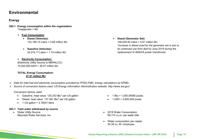## **Environmental**

### **Energy**

- **GEnERAL 302-1 Energy consumption within the organization**  $\bullet$ \*megajoules = MJ
	- **Fuel Consumption** 
		- Diesel (Vehicles):  $122,189.10$  Liters =  $4.68$  million MJ
		- **Gasoline (Vehicles):**  34,215.17 Liters = 1.15 million MJ
	- **Electricity Consumption:**

(Electricity Utility Source is MERALCO) 10,020,500 kWH = 36.07 million MJ

### **ECOnOMIC DEVELOPMEnT TOTAL Energy Consumption:** • Annual reporting, Economic **47.51 million MJ**

- $\triangleright$  Data for total fuel and electricity consumption provided by FPSG-FMD, energy calculations by EPMD**.**
- > Source of conversion factors used: US Energy Information Administration website, http://www.eia.gov/

• Procurement Practices Conversion factors used:

- Gasoline, heat value:  $120,333$  Btu<sup>2</sup> per US gallon
- $\bullet$  Diesel, heat value: 137,381 Btu<sup>2</sup> per US gallon
- **LEGEnD**  $\bullet$  1 US gallon = 3.78541 liters

#### Stakeholder Type / Boundary: **303-1 Total water withdrawal by source**

Maynilad Water Services, Inc. Water Utility Source:

**•** Diesel (Generator Set):  $\frac{1}{1+\epsilon}$ *its continued use from April to June 2018 during the* Collective Bargaining 146,629.40 Liters = 5.61 million MJ *\*increase in diesel used for the generator set is due to replacement of 400kVA power transformer.*

- $\bullet$  1 Btu = 1,055.05585 joules
- $\bullet$  1 kWh = 3,600,000 joules
- 2018 Water Consumption: 69,174 cu.m. per water bills organization
	- Water consumption per capita: 30.39 cu. M./ employee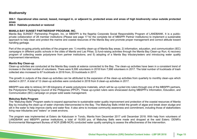### **Biodiversity**

304-1 Operational sites owned, leased, managed in, or adjacent to, protected areas and areas of high biodiversity value outside protected **areas**

**304-3 Habitats protected or restored**

#### **MANILA BAY SUNSET PARTNERSHIP PROGRAM, INC.**

Manila Bay SUNSET Partnership Program, Inc. or MBSPPI is the flagship Corporate Social Responsibility Program of LANDBANK. It is a publicprivate collaboration of 28 member institutions (Please see page 17 for the complete list of MBSPPI Partner Institutions) to implement a sustainable co member institutions (Fiease see page 17 for the complete list of MBSFFT Fartner institutions) to implement a st<br>and protect the marine and coastal resources of the Manila Bay and promote proper management and correct at approach to help clean and protect the marine and coastal resources of the Manila Bay and promote proper management and correct attitude toward<br>handling garbage handling garbage.

Management  $\cdot$ up or marilla Day areas, 2) lino<br>, 3) fund relation estimities throu campaigns in different public schools in the cities of Manila and Las Piñas; 3) fund-raising activities through the Manila Bay Clean-up Run; 4) recovery program of collecting waste polystyrene from partner institutions; and 5) adopting of a Manila Bay tributary/estero and introducing water quality Part of the on-going priority activities of the program are: 1) monthly clean-up of Manila Bay areas; 2) information, education, and communication (IEC) improvement interventions.

#### **Manila Bay Clean-up**

**ECOnOMIC DEVELOPMEnT** collected also increased to 67 truckloads in 2018 from, 53 truckloads in 2017. **Environmental Environmental** Clean-up activities are conducted at the Manila Bay coasts at esteros connected to the Bay. The clean-up activities have been in a consistent trend of increase in the total number of volunteers. There were 9,306 volunteers in 2018 from 7,998 volunteers in 2017. The total number of truckloads of trash

the clean-un activities can be attributed to the expansion of the clean-un activities from quarterly to monthly clean-uns wi The growth in outputs of the clean-up activities can be attributed to the expansion of the clean-up activities<br>started in 2017. A total of 12 clean-up activities were conducted in 2018 from 9 clean-up activities in 2017.  $\cdot$   $\cdot$   $=$   $\cdot$   $\cdot$   $\cdot$   $\cdot$   $\cdot$ Safety (1992)  $\mathbf{v}$  is the constant of  $\mathbf{v}$  and  $\mathbf{v}$  are  $\mathbf{v}$  with  $\mathbf{v}$  and  $\mathbf{v}$  are  $\mathbf{v}$  and  $\mathbf{v}$  are  $\mathbf{v}$  are  $\mathbf{v}$  and  $\mathbf{v}$  are  $\mathbf{v}$  are  $\mathbf{v}$  and  $\mathbf{v}$  are  $\mathbf{v}$  are  $\mathbf{v}$  a The growth in outputs of the clean-up activities can be attributed to the expansion of the clean-up activities from quarterly to monthly clean-ups which

MBSPPI was able to retrieve 241.89 kilograms of waste polystyrene materials, which will be up-cycled into rulers through one of the MBSPPI partners, the Polystyrene Packaging Council of the Philippines (PPCP). These up-cycled rulers were showcased during MBSPPI's Information, Education, and climate change change change change Communication (IEC) campaign on proper solid waste management.

#### **Mabuhay Balls Program**

Customer Satisfaction products - environment, The ―Mabuhay Balls‖ Program seeks to expand approaches to sustainable water quality improvement and protection of the coastal resources of Manila The Mabanay Balls Trogram seeks to expand approaches to sustainable water quality improvement and protection or the coastan resources or manila<br>Bay by including the clean-up of water channels interconnected to the Bay. The DIGAN UUWII SIU silt in the water to help improve clarity and water flow. It also aims to increase community awareness and commitment, including those of stakeholders<br>living near tributaries and "estero" or creek environs living near tributaries and "estero" or creek environs.

ras implemented at Estero de Kabulusan in Tondo. Manila from December 2017 until December 2018. With help from volunteers of LANDBANK and MBSPPI partner institutions, a total of 19,000 pcs. of Mabuhay Balls were made and dropped at the said Estero. DENR's The program was implemented at Estero de Kabulusan in Tondo, Manila from December 2017 until December 2018. With help from volunteers of Environmental Management Bureau of NCR (EMB-NCR) conducted water quality sampling to assess the effectiveness of the intervention.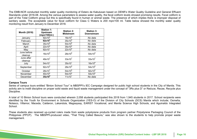part of the Total Oolhorm group but this is specifically found in hallian of animal waste. The presence of which implies there is improper alsposal of<br>sanitary waste. The acceptable value for fecal coliform for Class C Wat The EMB-NCR conducted monthly water quality monitoring of Estero de Kabulusan based on DENR's Water Quality Guideline and General Effluent Standards under 2016-08. Among the various parameters to assess water quality, the fecal coliform levels showed promising results. Fecal coliform is part of the Total Coliform group but this is specifically found in human or animal waste. The presence of which implies there is improper disposal of monitoring result from January to December 2018.

| <b>Month (2018)</b>    | <b>Station 1:</b><br><b>Upstream</b><br>(mpn/100ml.) | <b>Station 2:</b><br><b>Midstream</b> | <b>Station 3:</b><br><b>Downstream</b> |
|------------------------|------------------------------------------------------|---------------------------------------|----------------------------------------|
| January                | $92x10^8$                                            | 16x10 <sup>9</sup>                    | No data                                |
| February               | 92x10 <sup>9</sup>                                   | $35x10^9$                             | No data                                |
| March                  | $35x10^8$                                            | $54x10^8$                             | No data                                |
| April                  | $22x10^8$                                            | $35x10^8$                             | No data                                |
| May                    | 92x10 <sup>7</sup>                                   | $22x10^8$                             | No data                                |
| June before<br>cleanup | $16x10^8$                                            | $28x10^8$                             | $54x10^8$                              |
| June after<br>cleanup  | $49x10^7$                                            | $33x10^7$                             | $33x10^7$                              |
| July                   | $54x10^7$                                            | $35x10^7$                             | $16x10^8$                              |
| September              | $92x10^5$                                            | $28x10^6$                             | $54x10^6$                              |
| October                | $28x10^7$                                            | $54x10^6$                             | $92x10^6$                              |
| November               | 40x10 <sup>6</sup>                                   | $54x10^6$                             | $54x10^6$                              |
| December               | $35x10^6$                                            | 11x10'                                | No data                                |

#### **Campus Tours**

entitied Binion Sch plifie on proper solid was • Customer Privacy of the subtineties in the City of Marilla , in the Oity of Marilla. This<br>Iduce Reuse Recycle plus  $\cdots$ ,  $\cdots$ ,  $\cdots$ ,  $\cdots$ Series of campus tours entitled "Binion School Tour" is MBSPPI's IEC Campaign designed for public high school students in the City of Manila. This activity aim to instill discipline on proper solid waste and liquid waste management under the concept of "3Rs plus D" or Reduce, Reuse, Recycle plus<br>— Discipline.

117. School recipients were retainch to Billion School toals were conducted wherein 2,000 stadents participated and 2010 from 1,040 stadents in 2017. School recipients were<br>identified by the Youth for Environment in Schools Organization (YES-O) of th nor, Maceda, Calderon, Lakandula, Magsaysay, EARIST Vocational, and Manila Science High Schools, and Aguinaldo Integrated<br>. .<br>A total of 10 Binion School tours were conducted wherein 2,058 students participated this 2018 from 1,945 students in 2017. School recipients were or the Brusion or Old Nolasco, Villamor, Maceda, Calderon, Lakandula, Magsaysay, EARIST Vocational, and Manila Science High Schools, and Aguinaldo Integrated<br>Cebest School.

These students also received up-cycled rulers made from waste polystyrene products from program partner Polystyrene Packaging Council of the Philippines (PPCP). The MBSPPI-produced video, "That Thing Called Basura," was also shown to the students to help promote proper waste organization management.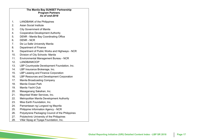#### **The Manila Bay SUNSET Partnership Program Partners**  *As of end-2018*

- **Material Topics Identified by Stakeholders** 1. LANDBANK of the Philippines
- 2. Asian Social Institute
- 3. City Government of Manila
- er and Supplement of manner<br>4. Cooperative Development Authority
- rooping na 5. DENR - Manila Bay Coordinating Office<br>。 PENR NOR
- 6. DENR NCR
- • Risks, Impacts, Opportunities 7. De La Salle University Manila
- 8. Department of Finance
- 9. Department of Public Works and Highways NCR
- 10. Division of City Schools Manila
- 11. Environmental Management Bureau NCR
- 12. LANDBANKOOP
- 13. LBP Countryside Development Foundation, Inc.
- 14. LBP Insurance Brokerage, Inc.
- 15. LBP Leasing and Finance Corporation
- 16. LBP Resources and Development Corporation
- 17. Manila Broadcasting Company
- 18. Manila Ocean Park
- 19. Manila Yacht Club
- 20. Masaganang Sakahan, Inc.
- 21. Maynilad Water Services, Inc.
- 22. Metropolitan Manila Development Authority
- 23. Miss Earth Foundation, Inc.
- **LEGE n D** 24. Pamantasan ng Lungsod ng Maynlla
- 25. Philippine Information Agency NCR
- 26. Polystyrene Packaging Council of the Philippines
- 27. Polytechnic University of the Philippines
- 28. Villar Sipag at Tiyaga Foundation, Inc.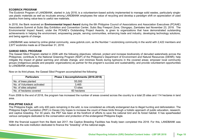#### **ECOBRICK PROGRAM**

plastics from being value-less to useful raw materials. The Ecobrick Program of LANDBANK, started in July 2018, is a volunteerism-based activity implemented to manage solid wastes, particularly singleuse plastic materials as well as inculcate among LANDBANK employees the value of recycling and develop a paradigm shift on appreciation of used

Associations Summit at Subic Bay Exhibition and Convention Center, Subic Bay Freeport Zone, Olongapo, Zambales last November 23, 2018. The Environmental Impact Award, under the PCAAE's Outstanding Project Awards, is given to organizations that have demonstrated outstanding achievements in helping the environment, empowering people, serving communities, enhancing trade and industry, developing technology solutions,<br>and being esepte of change  $\overline{\phantom{a}}$ In 2018, the Bank received an **Environmental Impact Award** during the 6th Philippine Council of Associations and Association Executives (PCAAE) and being agents of change.

by online global community, www.gobrick.com, as the Number 2,877 ecobricks made as of December 31, 2018. LANDBANK was ranked by online global community, www.gobrick.com, as the Number 1 ecobricking community in the world with 2,422 members and<br>2.877 ecobricks made as of December 31, 2018

#### **GAWAD SIBOL PROGRAM**

Collective Bargaining The Gawad Sibol Program started in 2006 with the following objectives: reforest, protect and increase biodiversity of denuded watersheds across the The Gawaa Gibert regram started in 2000 with the reliewing objectives. Telefost, protect and increase biodiversity of deridated watersheds deross the<br>Philippines; contribute to the National Greening Program (NGP) of the Ph entify the impact of global warming and climate change, and minimize floods during typhoons in the covered areas; empower local community anagers are engineering group than many groups and many groups. The management called groups (indigenous people and peoples' organizations) as partner for the program's success and sustainability; and provide volunteerism to LANDBANK employees.

| <b>Particulars</b>          | Phase 3 Accomplishments (2016-2018) |
|-----------------------------|-------------------------------------|
| No. of trees planted        | 55,000                              |
| No. of Volunteers activated | 3.465                               |
| No. of sites adopted        | 13 sites                            |
| No. of hectares covered     | 60 hectares                         |

Now on its third phase, the Gawad Sibol Program accomplished the following:<br>. **Engineering** 

From 2006 to the end of 2018, the program has increased the number of areas covered across the country to a total 25 sites and 114 hectares in land area.

### **PHILIPPINE EAGLE**

change in the critically endopeded due to illegal bunting and deforestation and deforest the communities of the communities of the communities of the communities of the communities of the communities of the communities of Lagie, with only 400 pails remaining in the wild, is now considered as chitcally endangered due to lifegal numing and deforestation. The<br>e Foundation (PEF) in Davao City hopes to increase the count of these birds through a and captive breeding. For 30 years, the PEF has been at the forefront of efforts to save the national bird and its forest habitat. It has spearheaded redirig. That our years, the FLT has been at the forehorit or enorts to save the hational bi<br>ans dedicated to the conservation and protection of the endangered Philippine Fagle The Philippine Eagle, with only 400 pairs remaining in the wild, is now considered as critically endangered due to illegal hunting and deforestation. The Philippine Eagle Foundation (PEF) in Davao City hopes to increase the count of these birds through a holistic approach of public education, research, various campaigns dedicated to the conservation and protection of the endangered Philippine Eagle.<br>.

With the financial support from the Bank last 2017, the Captive Breeding Facilities has finally been completed this 2018. For this, LANDBANK was hailed as the sole institution dedicated to finance the "breeding" of the national eagle.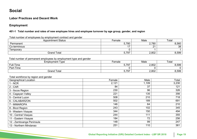## **Social**

## **Material Topics Identified by Stakeholders Labor Practices and Decent Work**

### **Employment**

#### 401-1 Total number and rates of new employee hires and employee turnover by age group, gender, and region Compensation

Total number of employees by employment contract and gender

| <b>Appointment Status</b>                                         | Female |       | Male  | Total |
|-------------------------------------------------------------------|--------|-------|-------|-------|
| Permanent                                                         |        | 5,780 | 2,780 | 8,560 |
| Co-terminous                                                      |        | 17    | 21    | 38    |
| Temporary                                                         |        | 0     |       |       |
| <b>Grand Total</b>                                                |        | 5,797 | 2,802 | 8,599 |
| Total number of permanent employees by employment type and gender |        |       |       |       |
| <b>Employment Type</b>                                            | Female |       | Male  | Total |
| Full-Time                                                         |        | 5,797 | 2,802 | 8,599 |
| Part-Time                                                         |        | 0     | Ω     | 0     |
| <b>Grand Total</b>                                                |        | 5,797 | 2,802 | 8,599 |
| Total workforce by region and gender                              |        |       |       |       |
| <b>Geographical Location</b>                                      | Female |       | Male  | Total |
| $1 - NCR$                                                         | 2,121  |       | 1,109 | 3,230 |
| $2 - CAR$                                                         | 84     |       | 37    | 121   |
| 3 - Ilocos Region                                                 | 230    |       | 96    | 326   |
| 4 - Cagayan Valley                                                | 221    |       | 135   | 356   |
| 5 - Central Luzon                                                 | 508    |       | 210   | 718   |
| 6 - CALABARZON                                                    | 502    |       | 189   | 691   |
| 7 - MIMAROPA                                                      | 146    |       | 64    | 210   |
| 8 - Bicol Region                                                  | 243    |       | 102   | 345   |
| 9 - Western Visayas                                               | 344    |       | 150   | 494   |
| 10 - Central Visayas                                              | 244    |       | 111   | 355   |
| 11 - Eastern Visayas                                              | 184    |       | 72    | 256   |
| 12 - Zamboanga Peninsula                                          | 148    |       | 99    | 247   |
| 13 - Northern Mindanao                                            | 251    |       | 110   | 361   |

 $\mathcal{F}^{\text{max}}_{\text{max}}$ 

 $10.24\pm0.02$  and  $10.44\pm0.02$  and  $10.44\pm0.02$   $10.44\pm0.02$   $10.44\pm0.02$   $10.44\pm0.02$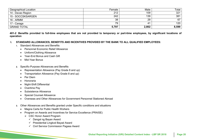| <b>Geographical Location</b> | Female | Male  | Total |
|------------------------------|--------|-------|-------|
| 14 - Davao Region            | 212    | 109   | 321   |
| 15 - SOCCSKSARGEN            | 242    | 139   | 381   |
| 16 - ARMM                    | 38     | 29    | 67    |
| 17 - Caraga                  | 79     | 41    | 120   |
| <b>GRAND TOTAL</b>           | 5,797  | 2,802 | 8,599 |

 $\boldsymbol{\mathsf{y}}$  significant locations  $\boldsymbol{\mathsf{c}}$ • Anti-corruption ed to fun-time  $\mathbf{r}$  . The state of the state of the state of the state of the state of the state of the state of the state of the state of the state of the state of the state of the state of the state of the state of the state of th 401-2 Benefits provided to full-time employees that are not provided to temporary or part-time employees, by significant locations of **operation**

#### .<br>DWANCES, BENEFITS AND INCENTIVES PROVIDED BY TH • Ethical Operations and **I. STANDARD ALLOWANCES, BENEFITS AND INCENTIVES PROVIDED BY THE BANK TO ALL QUALIFIED EMPLOYEES:**

- 1. Standard Allowances and Benefits
	- Personnel Economic Relief Allowance
	- Uniform/Clothing Allowance
	- Year-End Bonus and Cash Gift
	- Mid-Year Bonus
- **2.** Specific-Purpose Allowances and Benefits
	- Representation Allowance (Pay Grade 8 and up)
	- **FIGURIE 1** Transportation Allowance (Pay Grade 8 and up)
	- Per Diem
	- Honoraria
	- Night-Shift Differential
	- $\bullet$  Overtime Pay
	- Subsistence Allowance
	- Special Counsel Allowance
	- Overseas and Other Allowances for Government Personnel Stationed Abroad
- r Allowances and Benefits granted under Specific conditions and situations **3.** Other Allowances and Benefits granted under Specific conditions and situations
	- Magna Carta for Public Health Workers
	- *Indigita Sarta for Fashe Hoalin Fromero*<br>• Program on Awards and Incentives for Service Excellence (PRAISE)  $\mathbf{v}$  with  $\mathbf{v}$ 
		- ▶ CSC Honor Award Program
			- $\checkmark$  Dangal ng Bayan Award
			- $\checkmark$  Presidential Lingkod Bayad Award
			- $102-44$  $\checkmark$  Civil Service Commission Pagasa Award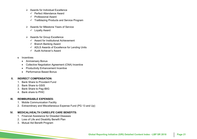- $\triangleright$  Awards for Individual Excellence
	- $\checkmark$  Perfect Attendance Award
	- $\checkmark$  Professional Award
- **★ Trailblazing Products and Service Program** 
	- **▶ Awards for Milestone Years of Service** 
		- $\checkmark$  Loyalty Award
	- > Awards for Group Excellence
		- $\checkmark$  Award for Institutional Achievement
		- $\checkmark$  Branch Banking Award
		- $\checkmark$  ADLS Awards of Excellence for Lending Units
		- $\checkmark$  Audit Achiever's Award

#### **4.** Incentives

- Anniversary Bonus
- Collective Negotiation Agreement (CNA) Incentive
- Productivity Enhancement Incentive
- **•** Performance Based Bonus

#### $\overline{D}$ FNCATIONI $\overline{D}$ **II. INDIRECT COMPENSATION:**

- 1. Bank Share to Provident Fund
- ופט ט**פט פו** 2. Bank Share to GSIS
- • Procurement Practices 3. Bank Share to Pag -IBIG
- 4. Bank share to PHIC

#### **III. REIMBURSABLE EXPENSES:**

- 1. Mobile Communication Facility
- **LEGE n D** 2. Extraordinary and Miscellaneous Expense Fund (PG 13 and Up)

#### **IV. MEDICAL/HEALTH CARE/LIFE CARE BENEFITS :**

- 1. Financial Assistance for Dreaded Diseases
- 2. Loss of Life and Disability Benefit Plan
- 3. Mutual Aid Benefit Program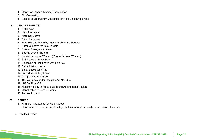- 4. Mandatory Annual Medical Examination
- 5. Flu Vaccination
- **Material Topics Identified by Stakeholders** 6. Access to Emergency Medicines for Field Units Employees

#### **GENERAL V. LEAVE BENEFITS:**

- 1. Sick Leave
- $\overline{a}$ 2 Vacation Leave
- 3. Maternity Leave
- $\mathcal{P}$ 4. Paternity Leave
- 5. Maternity and Paternity Leave for Adoptive Parents
- of matering and returning Escription materials<br>6. Parental Leave for Solo Parents
- 7. Special Emergency Leave
- 8. Special Leave Privilege
- 9. Special Leave for Women (Magna Carta of Women)
- 10. Sick Leave with Full Pay
- 11. Extension of Sick Leave with Half Pay
- 12. Rehabilitation Leave
- 13. Study Leave With Pay
- 14. Forced Mandatory Leave
- 15. Compensatory Service
- 16. 10-Day Leave under Republic Act No. 9262
- 17. LBPEA Time-Off
- 18. Muslim Holiday in Areas outside the Autonomous Region
- 19. Monetization of Leave Credits
- 20. Terminal Leave

#### **VI. OTHERS**

- 1. Financial Assistance for Relief Goods
- $\alpha$  is a proportional Deceased Line 2. Floral Wreath for Deceased Employees, their immediate family members and Retirees
- **E** OCIVICE • Shuttle Service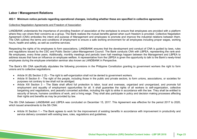### **Labor / Management Relations**

### **Material Topics Identified by Stakeholders 402-1 Minimum notice periods regarding operational changes, including whether these are specified in collective agreements**

#### **GENERAL AND STRUCTURE** Collective Negotiation Agreements and Freedom of Association

LANDBANK understands the importance of providing freedom of association at the workplace to ensure that employees are provided with a platform where they can share their concerns as a group. The Bank realizes the mutual benefits gained when such freedom is provided. Collective Negotiation<br>. Agreement (CNA) embodies the intent and purpose of Management and employees to promote and improve the industrial relations between them.<br> dies the intent and purpose or management and employees to promote and improve the industrial relations betwee<br>rms and conditions of employment to ensure a safe working environment for all employees including proper wages arily and conditions of omploy.<br>As well as overtime services hours, health and safety, as well as overtime services.<br>' The CNA outlines the terms and conditions of employment to ensure a safe working environment for all employees including proper wages, working

Management ensures that the development<br>• Council The Benk conducts ( Collective Bargaining and regulations issued by the CSC and Public Sector Labor-Management Council. The Bank conducts CNA with LBPEA, representing the rank-andfile employees, every three years. Additionally, monthly meetings and periodic town hall meetings happen between the Management and LBPEA to ive from the LDFLA is give<br>RANIK in Derspective employees during the employee orientation seminar also known as LANDBANK in Perspective.<br>. Respecting the rights of its employees to form associations, LANDBANK ensures that the development and conduct of CNA is guided by laws, rules address issues that have an influence on employee welfare. A representative from the LBPEA is given the opportunity to talk to the Bank's newly-hired

The Bank's 6th CNA specifically stipulates the following provisions in the Philippine Constitution granting to government workers the right to form unions and to collective negotiations:

- **ECOnOMIC DEVELOPMEnT EnVIROnMEnTAL •** Article IX (B) Section 2 (5) – The right to self-organization shall not be denied to government workers.
- $\frac{1}{2}$  (0) The ngm to sen-organization shall not be defiled to government workers.<br>0. The right of the peeple, including these in the public and private easters, to ferm unione, associations, ar assisting Article in Section o  $-$  The right of the people, incl<br>purposes not contrary to law shall not be abridged. • Article III Section 8 – The right of the people, including those in the public and private sectors, to form unions, associations, or societies for<br>purposes not contrary to law shall not be abridged
- Article XIII Section 3 The State shall afford full protection to labor, local and overseas, organized and unorganized, and promote full Ande Am occlon 5 – The olate shall allow full protection to labor, local and overseas, organized and unorganized, and promote full<br>employment and equality of employment opportunities for all. It shall guarantee the rights bargaining and negotiations, and peaceful concerted activities, including the right to strike in accordance with the law. They shall be entitled to bargaming and regoudineric, and pedecidi concerted derivies, medding the right to entire in decordance with the law. They shall be entired to security of tenure, humane conditions of work, and a living wage. They shall als  $\mathcal{F}$  and  $\mathcal{F}$ their rights and benefits as may be provided by law.

 $\overline{C}$   $\overline{C}$   $\overline{C}$   $\overline{C}$   $\overline{C}$   $\overline{C}$   $\overline{C}$   $\overline{C}$   $\overline{C}$   $\overline{C}$   $\overline{C}$   $\overline{C}$   $\overline{C}$   $\overline{C}$   $\overline{C}$   $\overline{C}$   $\overline{C}$   $\overline{C}$   $\overline{C}$   $\overline{C}$   $\overline{C}$   $\overline{C}$   $\overline{C}$   $\overline{C}$   $\overline{$ The 6th CNA between LANDBANK and LBPEA was concluded on December 15, 2017. This Agreement was effective for the period 2017 to 2020, which issued amendments to the 5th CNA: climate change, communities

• Online and Mobile Banking Software • Article XI Section 1 – The Bank agrees to work for the improvement of existing benefits in accordance with improvement in productivity and service delivery consistent with existing laws, rules, regulations and guidelines.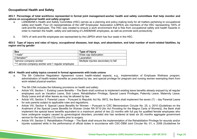### **Occupational Health and Safety**

#### **Material Topics Identified by Stakeholders advice on occupational health and safety program 403-1 Percentage of total workforce represented in formal joint management-worker health and safety committees that help monitor and**

- rank-and-file employees. The HSC was created to ensure a work environment that is free from occupational safety and health hazards in order to maintain the health, safety and well-being of LANDBANK employees, as well as promote work-productivity. a. LANDBANK's Health and Safety Committee (HSC) serves as a planning and policy-making body for all matters pertaining to occupational safety and health. Four (4) representatives of the LBP Employees' Association (LBPEA) are members of the HSC representing 100% of
- $\mathbf{r}$  compliance  $\mathbf{r}$ b. 100% of rank-and-file employees are represented by the LBPEA which has four seats in the HSC.<br>

#### er and rates of injury occupation 403-2 Type of injury and rates of injury, occupational diseases, lost days, and absenteeism, and total number of work-related fatalities, by<br>region and by gender **region and by gender**

| <b>Sex</b>                                        | Type of Injury                      |
|---------------------------------------------------|-------------------------------------|
| 1 male*                                           | Knee cap dislocation                |
| 2 females**                                       | Laceration                          |
| *service company worker                           | Multiple injuries secondary to fall |
| **1 service company worker and 1 regular employee |                                     |

### **ECOnOMIC DEVELOPMEnT EnVIROnMEnTAL 403-4 Health and safety topics covered in formal agreements with trade unions**

- ecuve inegunanum Agreem<br>Lef beelth related benefite es Performance in the control of the control of the control of the control of the control of the control of the control of the control of the control of the control of the control of the control of the control of the control work-related physical exertion.<br> **STAKEHOLDER RELATIOnS** over wenness program<br>man avampting tham for administration of health-related benefits as prescribed by law, and special privilege for pregnant and nursing women exempting them from<br>work related physical exertion a. The 5th Collective Negotiation Agreement covers health-related aspects, e.g., implementation of Employee Wellness program,
- b. The 5th CNA includes the following provisions on health and safety:  $\mathbf{t}$ 
	- Article VIII, Section 1. Existing Leave Benefits The Bank shall continue to implement existing leave benefits already enjoyed by all regular employees such as Vacation Leave, Sick Leave, Rehabilitation Privilege, Special Leave Privileges, Paternity Leave, Maternity Leave,  $\mathcal{F}(\mathbf{z})$  depended so  $\mathbf{z}$  $\overline{\mathbf{G}}$ Study Leave and all other leaves as may be allowed by law.
	- Article VIII, Section 3. Parental Leave Pursuant to Republic Act No. 8972, the Bank shall implement the seven (7) day Parental Leave for solo parents subject to applicable rules and regulations.
	- Article VIII, Section 4. Special Leave Benefits for Women Pursuant to CSC Memorandum Circular No. 25, s. 2010 (Guidelines on the Availment of the Special Leave Benefits for Women Under RA 9710 [An Act Providing for the Magna Carta of Women]), the Bank shall implement the special leave benefits equivalent to a maximum period of two (2) months with full pay for qualified female employees who have undergone surgery caused by gynecological disorders, provided she has rendered at least six (6) months aggregate government<br>consise far the leat tughs (13) months priet to surgery service for the last twelve (12) months prior to surgery.
	- Article VIII, Section 5. Rehabilitation Privilege The Bank shall ensure the implementation of the Rehabilitation Privilege for wounds and/or injuries sustained while in the performance of official duties in accordance with CSC-DBM Joint Circular No. 01, s. 2006 (Guidelines for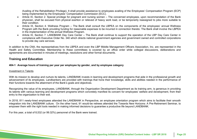Availing of the Rehabilitation Privilege). It shall provide assistance to employees availing of the Employees' Compensation Program (ECP) being implemented by the Employees' Compensation Commission (ECC).

- physician, shall be excused from physical exertion or relieved of heavy work load, or be temporarily reassigned to jobs more suitable to Article IX, Section 2. Special privilege for pregnant and nursing women – The concerned employees, upon recommendation of the Bank their condition.
- npioy<del>ces</del> annu<br>nk choll involvo **DE STRIET INVOIVE** GUIUT 4. Weinigaa Frogram – The Dank anali Consult the EDI EA On the Consult of the Consultant Consumer Consumer<br>The Rank providing funding for reasonable expenses to be incurred in connecti in the implementation of the annual Wellness Program. Program with the Bank providing funding for reasonable expenses to be incurred in connection thereto. The Bank shall involve the LBPEA<br>in the implementation of the annual Wellness Program. • Article IX, Section 4. Wellness Program – The Bank shall consult the LBPEA on the components of the employees' annual Wellness
- Article IX, Section 7. LANDBANK Day Care Center The Bank shall continue to support the operation of the LBP Day Care Center in Si Day Care Come CSR Programs • Corporate Governance • Employee Training and compliance with Executive Order No. 340 which directs national government agencies and government owned and controlled corporations to provide day care services.

In addition to the CNA, the representatives from the LBPEA and even the LBP Middle Management Officers Association, Inc. are represented in the Health and Safety Committee. Membership to these committees is covered by an office order while collegial discussions, deliberations and agreements are documented in minutes of meetings, resolutions and other formal documents.

### **Training and Education**

#### **404-1 Average hours of training per year per employee by gender, and by employee category**

#### Investment in Talents

With its mission to develop and nurture its talents, LANDBANK invests in learning and development programs that aide in the professional growth and advancement of its employees. Landbankers are provided with trainings that hone their knowledge, skills and abilities needed in the performance of their functions towards the attainment of the Bank's goals and objectives.

external and the University of the University Community of the University of the University of the University of the University of the University of the University of the University of the University of the University of t Recognizing the value of its employees, EANDBANK, through the Organization Development Department as its training anni, is generous in providing<br>Its talents with various learning and development programs which concretely m • Loan Policies; Interest Rates Recognizing the value of its employees, LANDBANK, through the Organization Development Department as its training arm, is generous in providing entry to the organization to their exit.

In 2018, 811 newly-hired employees attended the LANDBANK in Perspective, an employee orientation program which aims to facilitate their smooth e, an employee onemation program which alms to facilitate their smooth<br>rees attended the Towards New Horizons: A Pre-Retirement Seminar, to **LEGEND**<br>Light than empower them with the right tools needed in making informed decisions to guarantee a productive life beyond LANDBANK.<br>. integration into the LANDBANK culture. On the other hand, 91 would-be retirees attended the Towards New Horizons: A Pre-Retirement Seminar, to

 $\mathbb{R}^d$  $\mathbf{v}$  with  $\mathbf{v}$  with the consumption with the consumption with the consumption  $\mathbf{v}$ For this year, a total of 8,532 (or 99.32%) personnel of the Bank were trained.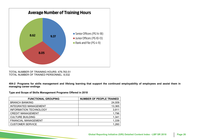

ENINING I IUUNO. 47 9,700.0 I<br>DAINEN DEDONNIEL - 0 522 TOTAL NUMBER OF TRAINED PERSONNEL: 8,532 TOTAL NUMBER OF TRAINING HOURS: 479,763.51

404-2 Programs for skills management and lifelong learning that support the continued employability of employees and assist them in • Market Presence **managing career endings**

• Procurement Practices **Type and Scope of Skills Management Programs Offered in 2018**

| <b>FUNCTIONAL GROUPING</b>    | <b>NUMBER OF PEOPLE TRAINED</b> |
|-------------------------------|---------------------------------|
| <b>BRANCH BANKING</b>         | 24,009                          |
| <b>INTEGRATED MANAGEMENT</b>  | 13,365                          |
| <b>INFORMATION TECHNOLOGY</b> | 3,911                           |
| <b>CREDIT MANAGEMENT</b>      | 1,796                           |
| <b>CULTURE BUILDING</b>       | 1,341                           |
| <b>FINANCIAL MANAGEMENT</b>   | 1,339                           |
| <b>CUSTOMER SERVICE</b>       | 1,260                           |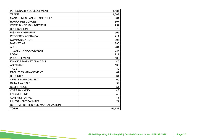| PERSONALITY DEVELOPMENT          | 1,181  |
|----------------------------------|--------|
| <b>TRADE</b>                     | 1,009  |
| <b>MANAGEMENT AND LEADERSHIP</b> | 961    |
| <b>HUMAN RESOURCES</b>           | 807    |
| <b>COMPLIANCE MANAGEMENT</b>     | 759    |
| <b>SUPERVISION</b>               | 675    |
| <b>RISK MANAGEMENT</b>           | 509    |
| PROPERTY APPRAISAL               | 411    |
| <b>COMMUNICATION</b>             | 305    |
| <b>MARKETING</b>                 | 296    |
| <b>AUDIT</b>                     | 281    |
| <b>TREASURY MANAGEMENT</b>       | 237    |
| <b>LEGAL</b>                     | 212    |
| <b>PROCUREMENT</b>               | 189    |
| <b>FINANCE MARKET ANALYSIS</b>   | 145    |
| <b>AGRARIAN</b>                  | 136    |
| <b>TRUST</b>                     | 130    |
| <b>FACILITIES MANAGEMENT</b>     | 62     |
| <b>SECURITY</b>                  | 61     |
| <b>OFFICE MANAGEMENT</b>         | 60     |
| <b>DATA ANALYSIS</b>             | 59     |
| <b>REMITTANCE</b>                | 51     |
| <b>CORE BANKING</b>              | 48     |
| <b>ENGINEERING</b>               | 46     |
| <b>ADMINISTRATIVE</b>            | 45     |
| <b>INVESTMENT BANKING</b>        | 22     |
| SYSTEMS DESIGN AND MANUALIZATION | 3      |
| <b>TOTAL</b>                     | 55,721 |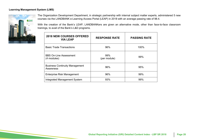#### **Learning Management System (LMS)**



**Mate And Topics Identified State of State Identified by State of State of State of 98.4.**<br>The Laplace of State Identity Access Portal (LEAP) in 2018 with an average passing rate of 98.4. The Organization Development Department, in strategic partnership with internal subject matter experts, administered 5 new

trainings, to avail of the Bank's L&D programs. With the creation of the Bank's LEAP, LANDBANKers are given an alternative mode, other than face-to-face classroom

| <b>2018 NEW COURSES OFFERED</b><br><b>VIA LEAP</b> | <b>RESPONSE RATE</b> | <b>PASSING RATE</b> |
|----------------------------------------------------|----------------------|---------------------|
| <b>Basic Trade Transactions</b>                    | 96%                  | 100%                |
| <b>BBS On-Line Assessment</b><br>(4 modules)       | 99%<br>(per module)  | 99%                 |
| <b>Business Continuity Management</b><br>Awareness | 96%                  | 95%                 |
| <b>Enterprise Risk Management</b>                  | 96%                  | 99%                 |
| Integrated Management System                       | 93%                  | 99%                 |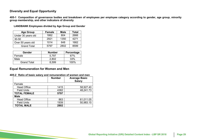### **Diversity and Equal Opportunity**

group membership, and other indicators of diversity **405-1 Composition of governance bodies and breakdown of employees per employee category according to gender, age group, minority** 

| <b>Age Group</b>   | <b>Female</b> | <b>Male</b> | <b>Total</b> |
|--------------------|---------------|-------------|--------------|
| Under 30 years old | 1862          | 804         | 2666         |
| $30 - 50$          | 2921          | 1350        | 4271         |
| Over 50 years old  | 1014          | 648         | 1662         |
| <b>Grand Total</b> | 5797          | 2802        | 8599         |

**GEnERAL LANDBANK Employees divided by Age Group and Gender**

| <b>Gender</b>      | <b>Number</b> | Percentage |
|--------------------|---------------|------------|
| Female             | 5.797         | 67%        |
| Male               | 2,802         | 33%        |
| <b>Grand Total</b> | 8.599         | 100%       |

## **Equal Remuneration for Women and Men**

|                     | <b>Number</b> | <b>Average Basic</b><br><b>Salary</b> |  |
|---------------------|---------------|---------------------------------------|--|
| Female              |               |                                       |  |
| <b>Head Office</b>  | 1415          | 58,927.40                             |  |
| <b>Field Units</b>  | 4382          | 48,241.73                             |  |
| <b>TOTAL FEMALE</b> | 5797          |                                       |  |
| <b>Male</b>         |               |                                       |  |
| <b>Head Office</b>  | 863           | 61,011.05                             |  |
| <b>Field Units</b>  | 1939          | 50,983.15                             |  |
| <b>TOTAL MALE</b>   | 2802          |                                       |  |

**ELON** conduction of ... • Annual reporting, Economic **405-2 Ratio of basic salary and remuneration of women and men**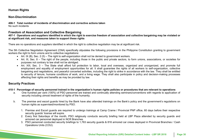### **Human Rights**

### **Non-Discrimination**

#### **406-1 Total number of incidents of discrimination and corrective actions taken** No such incidents

## **Freedom of Association and Collective Bargaining**

#### $\frac{1}{2}$ ng may be violated won and concouve Dargammy<br>suppliers identified in which the right to exercise freedom of as at significant risk, and measures taken to support these rights 407-1 Operations and suppliers identified in which the right to exercise freedom of association and collective bargaining may be violated or<br>at significant risk, and measures taken to support these rights

There are no operations and suppliers identified in which the right to collective negotiation may be at significant risk. Management

The 5th Collective Negotiation Agreement (CNA) specifically stipulates the following provisions in the Philippine Constitution granting to government Collective Bargaining workers the right to form unions and to collective negotiations:

- Art. IX (B), Sec. 2 (5) The right to self-organization shall not be denied to government workers.
- Art. III, Sec. 8 The right of the people, including those in the public and private sectors, to form unions, associations, or societies for purposes not contrary to law shall not be abridged.
- a negotiatione, and poacotal conocred activities, meliating the right to ethic in accordance with the law. They chall be chilled<br>tenure humane conditions of work, and a living wage. They shall also participate in policy an affecting their rights and benefits as may be provided by law. Performance  $\mathcal{O}_1$ to security of tenure, humane conditions of work, and a living wage. They shall also participate in policy and decision-making processes<br>affecting their rights and benefits as may be provided by law. Art. XIII, Sec. 3 – The State shall afford full protection to labor, local and overseas, organized and unorganized, and promote full employment and equality of employment opportunities for all. It shall guarantee the rights of all workers to self-organization, collective bargaining and negotiations, and peaceful concerted activities, including the right to strike in accordance with the law. They shall be entitled

### **Security Practices**

#### ecurity personnel traine  $\mathbf{F}_{\mathbf{r}}$  is the LGUs and  $\mathbf{F}_{\mathbf{r}}$  is the LGUs and  $\mathbf{F}_{\mathbf{r}}$ 410-1 Percentage of security personnel trained in the organization's human rights policies or procedures that are relevant to operations<br>
Case have a contract to contract (400%) of DCO a recognation by the disculse of poli

- a. One hundred per cent (100%) of PSO personnel are trained and continually attending seminars/conventions with regards to application of and the burned of trained and continually attending seminars/conventions with regard security including utmost treatment of rights of the humanity.
- nment's requistions mont of logaration on **LEGEnD** human rights as supervised/monitored by PSO.  $\mathcal{S}=\mathcal{S}$  , we have probable programs  $\mathcal{S}=\mathcal{S}$ b. The premise and escort guards hired by the Bank have also attended trainings on the Bank's policy and the government's regulations on
	- avs before their respective  $\overline{\phantom{a}}$ Stakeholder Type / Boundary: 1. Premise and Escort guards are required to undergo trainings at Camp Crame / Provincial PNP office, 60 days before their respective security guards' license will expire.
	- ecunty guarus license will expire.<br>Every first Saturdays of the month. PSO religiously conducts security briefing held at LBP Plaza attended by security quards and Engagement 2. Every first Saturdays of the month, PSO religiously conducts security briefing held at LBP Plaza attended by security guards and armored car personnel deployed in NCR Branches.
	- 3. PSO personnel conducted security briefings to 1,763 security guards & 816 armored car crews deployed in Provincial Branches / Cash Operations Units (COU).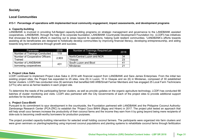### **Society**

### **Local Communities**

**413-1 Percentage of operations with implemented local community engagement, impact assessments, and development programs**

#### **a. Capacity-building**

**a: Capachy-bunumy**<br>LANDBANK is involved in providing full-fledged capacity-building programs on strategic management and governance to the LANDBANK assisted which in the interval in premang has neggement-superary behang pregnante on callinger management and generative to the Little build and concern<br>cooperatives. LANDBANK, through the help of its corporate foundation, LANDBANK experience Building and the Bank's efforts in reaching out to areas beyond its operations, helping build resilient communities. 'LANDBANK's efforts towards assisting all its beneficiaries are designed to holistically develop communities by improving financial literacy, developing entrepreneurship, and aiding assisting all its beneficiaries are designed to holistically develop towards long term sustenance through growth and success.

| Parameter                             | 2018  | Number of Trainings Required per | 2018 |
|---------------------------------------|-------|----------------------------------|------|
| <b>Number of Trainings Conducted</b>  | 119   | Region                           |      |
| <b>Number of Cooperative Officers</b> | 2,903 | North/Central Luzon and NCR      | 34   |
| Trained                               |       | Visayas                          | 23   |
| Number of LANDBANK                    | 431   | South Luzon and Bicol            |      |
| borrowing cooperatives                |       | Mindanao                         | 21   |

#### **b. Project Likas Saka**

LCDFI continued to implement Project Likas Saka in 2018 with financial support from LANDBANK and Sara James Enterprises. From the initial two existing project sites, the Project has expanded to 25 sites, nine (9) in Luzon, 10 in Visayas and six (6) in Mindanao, composed of 30 established • Audit (LFTs) who serve as farmer-leaders in each project site.<br>' Safety Li farmer clusters. LCDFI has conducted nine (9) seminars that benefited 649 ARB/Small Farmer Members and has engaged 25 Local Farm Technicians<br>(LETs) who serve as farmer-leaders in each project site

To determine the needs of the participating farmer clusters, as well as provide updates on the organic agriculture technology, LCDFI has conducted 68 First explanes on the organic agriculture technology, ECDT Thas conducted obtained by City Governments of each of the project sites to provide additional support batches of cluster monitoring and visits. LCDFI also partnered with the City Governments of each of the project sites to provide additional support<br>activities for its beneficiaries activities for its beneficiaries.

#### **c. Project Coco-BinHi**

**Decatives and commitment to spur development in the countryside, the Foundation partnered with LANDBANK and the Philippine Coconut Authority**we and Mobile Banking Software in the Society of the Society and Mobile Banking Parties of the Land and the test and approach that the experience of the project pilot tested an approach that zamboanga Research Center (PCAwill help small coco farmers increase the productivity of their coconut farms and the income they earn from it by going beyond being mere recipients of dole-outs to becoming credit-worthy borrowers for production purposes.

Engagement The project provided capacity-building intervention for selected small holding coconut farmers. The participants were organized into farm clusters and were given seminars on planting/replanting using improved coconut populations and planting systems to rehabilitate coconut farms through fertilization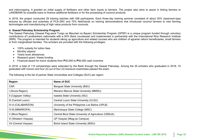and intercropping. It granted an initial supply of fertilizers and other farm inputs to farmers. The project also aims to assist in linking farmers to LANDBANK for possible loans to finance additional fertilizers or for the processing of coconut products.

In 2018, the project conducted 29 training batches with 456 participants. Each three-day training seminar consisted of about 30% classroom-type<br>In the contract of the construction of POA 7DO and 70% for the contract of the lectures by officials and scientists of PCA-ZRC and 70% field/hands on training demonstrations that introduced coconut farmers to new farming technologies and manufacturing of high value products from coconuts.

### d. Gawad Patnubay Scholarship Program<br>Ti

n funded through voluntary Rice Research Instil ikers nationwide with a 50% Bank counterpart and implemented in partnership with the international Rice Researc<br>Itended for students taking up agriculture and related courses who are children of agrarian reform beneficiari The Gawau Pathubay (Gawau Pag-aarar Tungo sa Maumau na Bayan) Scholarship Program (GPSP) is a unique program lunded through voluntary<br>contributions of Landbankers nationwide with a 50% Bank counterpart and implemented in p  $\frac{1}{2}$ illies. The scholars are provide and Business Continuity  $\ddot{\phantom{0}}$ The Gawad Patnubay (Gawad Pag-aaral Tungo sa Maunlad na Bayan) Scholarship Program (GPSP) is a unique program funded through voluntary Education (IRRI). The program is intended for students taking up agriculture and related courses who are children of agrarian reform beneficiaries, small farmers or from marginalized families. The scholars are provided with the following privileges:

- 100% subsidy for tuition fees
- Monthly stipend
- Yearly book allowances
- Research grant / thesis funding
- $\mathbf{h}$ ● Financial award for honor students from ₱30,000 to ₱50,000 cash incentive

In 2018, a total of 110 scholarships were extended by the Bank through the Gawad Patnubay. Among the 35 scholars who graduated in 2018, 10 graduated with honors and four (4) out of four (4) licensure examinees passed the exam.

| <b>Region</b>         | Name of SUC                                           |
|-----------------------|-------------------------------------------------------|
| <b>CAR</b>            | <b>Benguet State University (BSU)</b>                 |
| I (Ilocos Region)     | Mariano Marcos State University (MMSU)                |
| II (Cagayan Valley)   | Isabela State University (ISU)                        |
| III (Central Luzon)   | Central Luzon State University (CLSU)                 |
| IV-A (CALABARZON)     | University of the Philippines Los Baños (UPLB)        |
| IV-B (MIMAROPA)       | Marinduque State College (MSC)                        |
| V (Bicol Region)      | Central Bicol State University of Agriculture (CBSUA) |
| VI (Western Visayas)  | UP Visayas (Miag-ao Campus)                           |
| VII (Central Visayas) | Bohol Island State University (BISU)                  |

**Enorther Ctate Universities and** r partner state simplemes and **EnVIROnMEnTAL**  The following is the list of partner State Universities and Colleges (SUC) per region: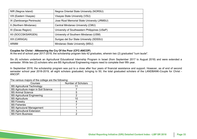| NIR (Negros Island)      | <b>Negros Oriental State University (NORSU)</b> |
|--------------------------|-------------------------------------------------|
| VIII (Eastern Visayas)   | Visayas State University (VSU)                  |
| IX (Zamboanga Peninsula) | Jose Rizal Memorial State University (JRMSU)    |
| X (Northern Mindanao)    | Central Mindanao University (CMU)               |
| XI (Davao Region)        | University of Southeastern Philippines (USeP)   |
| XII (SOCCSKSARGEN)       | University of Southern Mindanao (USM)           |
| XIII (CARAGA)            | Surigao del Sur State University (SDSSU)        |
| <b>ARMM</b>              | Mindanao State University (MSU)                 |

#### **Couples for Christ - ANswering the Cry Of the Poor (CFC-ANCOP)**

At the end of school year 2017-2018, the scholarship program lists 42 graduates, wherein two (2) graduated "cum laude". ...., ........<br>...

Six (6) scholars undertook an Agricultural Educational Internship Program in Israel (from September 2017 to August 2018) and were extended a semester. While two (2) scholars who are BS Agricultural Engineering majors need to complete their fifth year.

semester school year 2018-2019, all eight scholars graduated, bringing to 50, the total graduated scholars of the LANDBANK-Couple for Christ -<br>ANCOP In September 2018, the scholarship program was put to a close after four years of financial assistance and support. However, as of end of second ANCOP.

| Courses                              | <b>Number of Scholars</b> |
|--------------------------------------|---------------------------|
| <b>BS Agricultural Technology</b>    |                           |
| BS Agriculture major in Soil Science |                           |
| <b>BS Animal Science</b>             | 5                         |
| <b>BS Agricultural Engineering</b>   | 2                         |
| <b>BS Agriculture</b>                | 10                        |
| <b>BS Forestry</b>                   |                           |
| <b>BS Fisheries</b>                  |                           |
| <b>BS Agriculural Management</b>     |                           |
| <b>BS Agricultural Extension</b>     |                           |
| <b>BS Farm Business</b>              | 2                         |
|                                      |                           |

The various majors of the college are the following: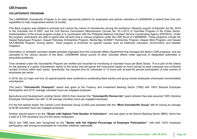#### $\binom{68}{8}$  Programs **CSR Programs**

#### **VOLUNTEERIFIC PROGRAM**

The LANDBANK Volunteerific Program is an open opportunity platform for employees and partner members of LANDBANK to extend their time and capabilities to help marginalized sectors of society.

This Bank program was initiated to promote and nurture the culture of volunteerism among the workforce, following support of Republic Act No. 9418 or the Volunteer Act of 2007, and the Civil Service Commission Memorandum Circular No. 23 s.2012 or Volunteer Program in the Public Sector. Implementation of the annual program proper is in coordination with the Philippine National Volunteer Service Coordinating Agency (PNVSCA). Under the program, participants are able to spend their off-work time in various programs under the CSR thrust of LANDBANK. These programs include the<br>Council Kabubayes Program, Council Patrubou Cabalambin Program, Mapile Pou CL Gawad Kabuhayan Program, Gawad Patnubay Scholarship Program, Manila Bay SUNSET Partnership Program, Gawad Sibol Program, and Gawad ram, Cawad Famusay Concia KATUBIGAN Program, among others. Each program is anchored on specific causes, such as livelihood, education, environment, and disaster<br>mitination mitigation.

 $\mathbf{r}$  and  $\mathbf{r}$  Affairs, Danagement that Information on available volunteer-related activities originates from the Corporate Affairs Department that manages the Bank's CSR programs, and are cascaded to the various sectors of the Bank. LANDBANK allows pursuit of other volunteer efforts under approval of designated authorities or prescribed guidelines.

Safety Time rendered under the Volunteerific Program are verified and recorded for monitoring of volunteer hours per Bank Sector. This is part of the criteria for the granting of a yearly Volunteerism Award to the sector that will garner the most points based on hours served by each employee and combined number of hours within each sector. Specifically, the required time for individuals is 10 hours with at least 60 percent participation of total number of employees per sector.

 $od$  four  $(1)$  cpocial awards we Performance ending Rank soctors and group whose employees showeneed commonde In 2018, two (2) major and four (4) special awards were conferred to outstanding Bank sectors and group whose employees showcased commendable<br>voluntoeriem volunteerism.

This year's "**Volunteerific Champion**" award was given to the Treasury and Investment Banking Sector (TIBS) with 100% Sectoral Employee Participation and 22.91 average volunteer hours per engaged employee.  $\mathbf{F}$ 

 $\epsilon$  convinct  $4.900%$  Contant  $\frac{1}{20}$  acquired Too  $\pi$  occional Agricultural and Development Lending Sector (ADLS) then received the **"Volunteerific Runner-Up"** award wherein they also acquired 100% Sectoral Employee Participation but with 12.94 average volunteer hours per engaged employee.

Surveys, Information and For the first special award, the Central Luzon Branches Group (CLBG) was awarded with the **"Most Volunteerific Group"** title for having an average<br>Cangles of 45.96 volunteer hours per engaged employee.

 $\text{C}$ Another special award is for the "**Sector with Highest Total Number of Volunteers**", and was given to the Branch Banking Sector (BBS), which has<br>a total of 3 729 volunteers out of 4 553 sector employees Abonch special award is for the **Cector With Highest To**<br>a total of 3,729 volunteers out of 4,553 sector employees.

ADLS and TIBS were also recognized as the **"Sector with the Highest Percentage of Employee Participation"**, with both 100% employee participation rate among its employees for volunteer initiatives nationwide.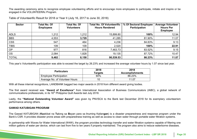The awarding ceremony aims to recognize employee volunteering efforts and to encourage more employees to participate, initiate and inspire or be engaged in the VOLUNTEERific Program.

| <b>Sector</b> | <b>Total No. Of</b><br><b>Employees</b> | <b>Total No. Of</b><br><b>Volunteers</b> | <b>Total No. Of Volunteerific</b><br><b>Hours Rendered</b> | % Of Sectoral Employee<br>Participation | <b>Average Volunteer</b><br><b>Hours Per</b><br><b>Employee</b> |
|---------------|-----------------------------------------|------------------------------------------|------------------------------------------------------------|-----------------------------------------|-----------------------------------------------------------------|
| <b>ADLS</b>   | 1,212                                   | 1,212                                    | 15,899.80                                                  | 100%                                    | 12.94                                                           |
| <b>BBS</b>    | 4,553                                   | 3,729                                    | 41,285                                                     | 81.90%                                  | 11.07                                                           |
| <b>CSS</b>    | 547                                     | 464                                      | 4,236                                                      | 84.83%                                  | 9.13                                                            |
| <b>TIBS</b>   | 109                                     | 109                                      | 2,520                                                      | 100%                                    | 22.91                                                           |
| OP            | 977                                     | 816                                      | 7,463.73                                                   | 83.52%                                  | 9.15                                                            |
| <b>OS</b>     | 2,084                                   | 1,828                                    | 19,135                                                     | 87.72%                                  | 10.47                                                           |
| <b>TOTAL</b>  | 9,482                                   | 8,158                                    | 90,539.53                                                  | 86.23%                                  | 11.07                                                           |

**Material Topics Identified by Stakeholders** Table of Volunteerific Result for 2018 or Year II (July 16, 2017 to June 30, 2018)

Safety This year's Volunteerific participation was able to exceed the target by 26.23% and increased the average volunteer hours by 1.07 since last year.

| <b>Particulars</b>             | 2018<br>Tarqets | 2018<br><b>Accomplishments</b> |
|--------------------------------|-----------------|--------------------------------|
| <b>Employee Participation</b>  | 60%             | 86.23%                         |
| Average No. of Volunteer Hours |                 | 11.07                          |

 $\alpha$ onnitions I ANDRANK hagged two major awards in 2018 from different award  $\bullet$  Market Presence With all these internal recognitions, LANDBANK bagged two major awards in 2018 from different award giving bodies.<br>.

The first award received was "Award of Excellence" from International Association of Business Communicators (IABC), a global network of communications professionals, in its 16<sup>th</sup> Philippine Quill Awards last July 2018.

 $\epsilon$  exemplary volupteerism Lastly, the "**National Outstanding Volunteer Award**" was given by PNVSCA to the Bank last December 2018 for its exemplary volunteerism<br>References among others performance among others.

#### GAWAD KATUBIGAN PROGRAM

Development epence program ander are<br>water filtration systems  $\sum_{n=1}^{\infty}$ Internal Production Turbity of B The Gawad KATUBIGAN (**Ka**akibat na **Tu**long sa **B**ayan para sa Inuming Kailan**gan**) is a disaster preparedness and response program under the Bank's CSR. It provides disaster prone areas with preparedness training as well as access to clean water through portable water filtration systems.

In partnership with Waves for Water International (W4W), the program provides technology transfer and water filtration systems capable of filtering one million gallons of water per device, which can last from five to ten years if properly maintained. The program also aims to reduce waterborne diseases.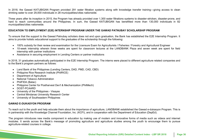In 2018, the Gawad KATUBIGAN Program provided 291 water filtration systems along with knowledge transfer training—giving access to clean drinking water to over 29,000 individuals in 28 municipalities/cities nationwide.

**Material Topics Identified by Stakeholders** Three years after its inception in 2015, the Program has already provided over 1,300 water filtrations systems to disaster-stricken, disaster-prone, and hard to reach communities around the Philippines. In sum, the Gawad KATUBIGAN has benefitted more than 130,000 individuals in 82 municipalities/cities nationwide.

## EDUCATION TO EMPLOYMENT (E2E) INTERNSHIP PROGRAM UNDER THE GAWAD PATNUBAY SCHOLARSHIP PROGRAM

 $\mathbf{L}=\mathbf{L}^{\mathbf{L}}$  , which is the community  $\mathbf{L}^{\mathbf{L}}$ : Internship Program rt to the Coural Detrubey sebelers dees not and upon graduation  $\frac{1}{2}$  and  $\frac{1}{2}$  corporation of  $\frac{1}{2}$  corporation of  $\frac{1}{2}$ • Risks, Impacts, Opportunities To ensure that the support to the Gawad Patnubay scholars does not end upon graduation, the Bank has established the E2E Internship Program. It<br>Sinc to assiste helictic educational compatibations destruction file scholarsh aims to provide holistic educational support to the graduates of the scholarship through the following:

- ir review and examination for the Licensure Exam for Agriculturists / Fis ● 100% subsidy for their review and examination for the Licensure Exam for Agriculturists / Fisheries / Forestry and Agricultural Engineer
- 10-week internship wherein three weeks are spent for classroom lectures at the LANDBANK Plaza and seven week are spent for field<br>internship with pertaer institutions Collective Bargaining internship with partner institutions
- $\bullet$  Assistance in securing employment in Lending Centers or partner institutions

 $\lim_{n \to \infty}$  The interns were pla Safety In 2018, 31 graduates automatically participated in the E2E Internship Program. The interns were placed to different agriculture related companies and to the Bank's program partners as follows:

- Land Bank of the Philippines (Lending Centers, DAD, PMD, CAD, CBD)
- Philippine Rice Research Institute (PhilRICE)
- Department of Agriculture
- $\mathbf{r}$  and  $\mathbf{r}$  and  $\mathbf{r}$  and  $\mathbf{r}$  and  $\mathbf{r}$  are positive to  $\mathbf{r}$  $\bullet$  National Tobacco Administration
- PhilFIDA (Batac)
- $\epsilon \approx 0$ • Philippine Center for Postharvest Dev't & Mechanization (PhilMech)<br>COST POAAPD  $\mathcal{L}_{\mathcal{F}}$  and  $\mathcal{L}_{\mathcal{F}}$  and  $\mathcal{L}_{\mathcal{F}}$  and  $\mathcal{L}_{\mathcal{F}}$  and  $\mathcal{L}_{\mathcal{F}}$
- DOST-PCAARD
- Boot Fort the Philippines Visayas
- Central Mindanao University Research Center
- University of Southeastern Philippines

## **LEGEnD GAWAD E-DUKASYON PROGRAM**

the youth and help educate them about the importance of agriculture, LANDBANK established the Gawad e-dukasyon Program. This is ighculture, EXNDDANN established the Gawad e-dukasyon Progress.<br>
cooperation with the Department of Education (DepEd). in partnership with the Knowledge Channel Foundation, Inc. (KCFI), and in cooperation with the Department of Education (DepEd).<br>. To reach out to the youth and help educate them about the importance of agriculture, LANDBANK established the Gawad e-dukasyon Program. This is

The program introduces new media component in education by making use of modern and innovative forms of media such as videos and internet modules. It sends across the Bank's message of promoting agriculture and agriculture studies among the youth to encourage them to pursue agriculture-related courses in college.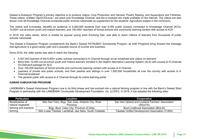**Material Topics Identified by Stakeholders** shown over all Knowledge Channel-connected public schools nationwide as supplement for the students' Agriculture subject in the curriculum. Gawad e-Dukasyon Program's primary objective is to produce videos: Crop Production and Harvest, Poultry Raising, and Aquaculture and Fisheries. These videos, entitled "AgriCOOLture," are aired over Knowledge Channel, and the e-modules are made available on the internet. The videos are also

The videos and e-modules, benefits an audience of 5,000,000 students from over 6,000 public schools connected to Knowledge Channel (KCh), 10,000+ out-of-school youth and mature learners, and 100,000+ teachers of formal schools and community learning centers with access to KCh.<br>-

 $\mathsf k$  from thousands of public Capacity and the second control of the second control of the second control of the second control of the second control of the second control of the second control of the second control of the second control of the second In 2018, the video series, which is hosted by popular young actor Enchong Dee, was able to reach millions of learners from thousands of public  $\mathbf{e}$  and  $\mathbf{e}$  training and  $\mathbf{e}$ schools nationwide.

• Risks, Impacts, Opportunities The Gawad e-Dukasyon Program complements the Bank's Gawad PATNUBAY Scholarship Program, as both Programs bring forward the message that agriculture is a good career path and a possible source of income and business.

Since 2016, the video series was able to reach the following:

- 5,007,943 learners of the 6,000+ public schools connected to K Channel through on-air broadcast and videos on-demand
- More than 10,000 out-of-school youth and mature learners enrolled in the DepEd Alternative Learning System (ALS) with access to K-Channel On-Demand package for ALS
- Over 100,000 teachers of formal schools and community learning centers with access to K Channel
- **EXTERNAL PERSONAL DEVELOPMENT**<br>RST **STARE RELATIONS EnVIROnMEnTAL**  Learners of private and public schools, and their parents and siblings in over 1,500,000 households all over the country with access to K Channel broadcast
- **•** The general public with access to K Channel through its online learning portal  $\mathbf{e}$   $\mathbf{e}$

### GAWAD KABUHAYAN PROGRAM

abuhayan Program now in its third phase and has evolved into a natural farming program in line with the Bank's Gawad Sibol extributives Sawad Rabanayan Frogram how in its time phase and has evolved into a hardinal farming program in mic with the Bank's Sawa<br>Program in partnership with the LANDBANK Countryside Development Foundation, Inc. (LCDF • Loan Policies; Interest Rates LANDBANK's Gawad Kabuhayan Program now in its third phase and has evolved into a natural farming program in line with the Bank's Gawad Sibol<br>E

| <b>Particulars</b>    | <b>Location</b>                                         | Cooperative                                           |
|-----------------------|---------------------------------------------------------|-------------------------------------------------------|
| Beneficiaries of      | Sitio San Ysiro, Brgy. San Jose, Antipolo City, Rizal   | San Isiro Upland and Lowland Farmers' Association     |
| natural vegetable     | Province                                                | (SIULFA)                                              |
| farming and livestock | Brgy. Buot, Cebu City, Province of Cebu                 | <b>Buot Livelihood Association (BULAI)</b>            |
| farming               | Sitio Lower Talubek, Lamlahak, ake Sebu, South Cotabato | <b>Talubek Unified Development Association (TUDA)</b> |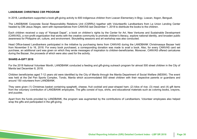#### **LANDBANK CHRISTMAS CSR PROGRAM**

In 2018, Landbankers supported a book gift-giving activity to 600 indigenous children from Loacan Elementary in Brgy. Loacan, Itogon, Benguet.<br>.

headed by DM Jesus Alegre, went with representatives from CANVAS last December 1, 2018 to distribute the books to the children. The LANDBANK Corporate Social Responsibility Relations Unit (CSRRU) together with Volunteerific Landbankers from La Union Lending Center

.<br>Each children received a copy of "Karapat Dapat", a book on children's rights by the Center for Art, New Ventures and Sustainable Development oustalliable Development  $\mathfrak{u}$ ry, and bioaden pui Lach children received a copy of Ratapat Dapat, a book on children's hyms by the Center for Art, New Ventures and Sustainable Development<br>(CANVAS), a non-profit organization that works with the creative community to promot art, culture, and environment. Storytelling sessions and art workshop was awareness for Philippine art, culture, and environment. Storytelling sessions and art workshop was also conducted.<br>.

Head Office-based Landbankers participated in the initiative by purchasing items from CANVAS during the LANDBANK Christmasaya Bazaar held from November 5 to 16, 2018. For every book purchased, a corresponding donation was made to avail a book. Also, for every CANVAS card set purchase, an additional card was given on which they wrote messages of inspiration to children-beneficiaries. Moreover, CANVAS offered caricatures during the Bazaar, the proceeds of which were also used for the activity.

#### **SHARE-A-GIFT 2018**

For the 2018 National Volunteer Month, LANDBANK conducted a feeding and gift-giving outreach program for almost 500 street children in the City of Manila last December 8, 2018.

Children beneficiaries aged 7-12 years old were identified by the City of Manila through the Manila Department of Social Welfare (MDSW). The event Uniquen benencianes aged 7-12 years old were identified by the City of Manila through the Manila Department of Social Wenare (MDSW). The event<br>was held at the Del Pan Sports Complex, Tondo, Manila which accommodated 500 st around 150 volunteers from LANDBANK. • Biodiversity

They were given (1) Christmas basket containing spaghetti, cheese, fruit cocktail and pear-shaped ham; (2) kilos of rice; (3) meal; and (4) gift items from the voluntary contribution of LANDBANK employees. The gifts consist of toys, shirts, and educational materials such as coloring books, crayons, and puzzles.

 $\mathsf{P}$  and  $\mathsf{P}$  and  $\mathsf{P}$  and  $\mathsf{P}$ Apart from the funds provided by LANDBANK, the program was augmented by the contributions of Landbankers. Volunteer employees also helped<br>''"se the sifte and participated in the sift siving wrap the gifts and participated in the gift-giving.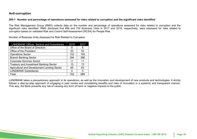#### **Anti-corruption**

#### **Material Topics Identified by Stakeholders 205-1 Number and percentage of operations assessed for risks related to corruption and the significant risks identified**

area to coma<sub>p</sub>.<br>sessed for risk **DECEDENT ION INC. EXALC NET INCREAL STATE OF SUPPRENT COMPUTER STATE OF THE NETRET CITY OF SPECIFICAL CONSUMING THE CONSUMING THE T<br>Significant risks identified. RMG disclosed that 689 and 702 Business Units in 2017 and 2018, respectively,** corruption based on validated Risk and Control Self-Assessment (RCSA) for People Risk. The Risk Management Group (RMG) collects data on the number and percentage of operations assessed for risks related to corruption and the

Number of Business Units Assessed for Risk Related to Corruption

| <b>LANDBANK Offices, Sectors and Subsidiaries</b> | 2018 | 2017 |
|---------------------------------------------------|------|------|
| Office of the Board of Directors                  | 8    |      |
| Office of the President                           | 53   | 53   |
| <b>Operations Sector</b>                          | 153  | 150  |
| <b>Branch Banking Sector</b>                      | 394  | 386  |
| <b>Corporate Services Sector</b>                  | 11   | 11   |
| <b>Treasury and Investment Banking Sector</b>     | 13   | 13   |
| Agricultural and Development Lending Sector       | 65   | 63   |
| <b>LANDBANK Subsidiaries</b>                      | 5    | 5    |
| Total                                             | 702  | 689  |
|                                                   |      |      |

LANDBANK takes a precautionary approach in its operations, as well as the innovation and development of new products and technologies. It strictly • Audit • Customer Privacy • Energy consumption within follows a step-by-step approach of engaging in peer review and considering benefits and risks of innovation in a systemic and transparent manner. This way, the Bank prevents any risk of causing any form of harm or negative impacts to the public.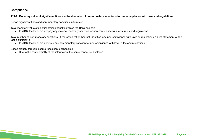### **Compliance**

#### **419-1 Monetary value of significant fines and total number of non-monetary sanctions for non-compliance with laws and regulations**

**Material Topics Identified by Stakeholders** Report significant fines and non-monetary sanctions in terms of:

Total monetary value of significant fines/penalties which the Bank has paid: **EMPLOYEE DEVELOPMENT** 

• In 2018, the Bank did not pay any material monetary sanction for non-compliance with laws, rules and regulations.

a brief statement o  $\mathcal{P}^{\text{max}}_{\text{max}}$ Total number of non-monetary sanctions (If the organization has not identified any non-compliance with laws or regulations a brief statement of this<br>fact is sufficient) fact is sufficient):

erspects. In the contract of the set of the set of the set of the set of the set of the set of the set of the s<br>In the set of the set of the set of the set of the set of the set of the set of the set of the set of the set  $\bullet$   $\;$  In 2018, the Bank did not incur any non-monetary sanction for non-compliance with laws, rules and regulations.

Cases brought through dispute resolution mechanisms:

 $\mathbf{L}^{\mathbf{L}}$  . Labor Management Relations  $\bullet$  Due to the confidentiality of the information, the same cannot be disclosed.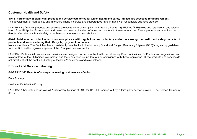### **Customer Health and Safety**

## **Material Topics Identified by Stakeholders 416-1 Percentage of significant product and service categories for which health and safety impacts are assessed for improvement**

The development of high-quality and innovative financial service and support goes hand-in-hand with responsible business practice.

LANDBANK's financial products and services are designed to be compliant with Bangko Sentral ng Pilipinas (BSP) rules and regulations, and relevant laws of the Philippine Government, and there has been no incident of non-compliance with these regulations. These products and services do not directly affect the health and safety of the Bank's customers and stakeholders.<br>.

#### incidents of non-compliance with regulations and voluntary codes concerning the health and safety im **in** products and services during their life cycle, by type of outcomes 416-2 Total number of incidents of non-compliance with regulations and voluntary codes concerning the health and safety impacts of

i**ly their life cycle, by type of outcomes**<br>Thas been consistently compliant with the Monetary Roard and Rangk*i* Management No such incidents; The Bank has been consistently compliant with the Monetary Board and Bangko Sentral ng Pilipinas (BSP)'s regulatory guidelines, with the BSP as the regulatory agency of the Philippine financial sector.

LANDBANK's financial products and services are designed to be compliant with the Monetary Board guidelines, BSP rules and regulations, and Agreements relevant laws of the Philippine Government, and there has been no incident of non-compliance with these regulations. These products and services do Foccupational Health and Scremmon, and thore has been not measure their compliance than a<br>not directly affect the health and safety of the Bank's customers and stakeholders. Safety

### **Product and Service Labelling**

## $G$ 4-PR5/102-43 <mark>Results of surveys measuring customer satisfaction</mark>

**Data Privacy** 

Customer Satisfaction Survey  $\mathcal{P}$ 

LANDBANK has obtained an overall "Satisfactory Rating" of 99% for CY 2018 carried out by a third-party service provider, The Nielsen Company (Phils.)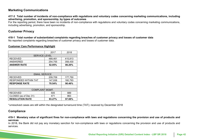### **Marketing Communications**

#### **Material Topics Identified by Stakeholders advertising, promotion, and sponsorship, by types of outcomes 417-3 Total number of incidents of non-compliance with regulations and voluntary codes concerning marketing communications, including**

**GEnERAL** For the reporting period, there have been no incidents of non-compliance with regulations and voluntary codes concerning marketing communications, including advertising, promotion, and sponsorship.

### **Customer Privacy**

418-1 Total number of substantiated complaints regarding breaches of customer privacy and losses of customer data<br>. No reported complaints regarding breaches of customer privacy and losses of customer data.

#### and Business Continuity **Customer Care Performance Highlight**

|                             | 2017    | 2018    |
|-----------------------------|---------|---------|
| <b>SERVICE LEVEL</b>        |         |         |
| <b>RECEIVED</b>             | 489,461 | 415,813 |
| ANSWERED                    | 254,755 | 358,430 |
| <b>ANSWER RATE</b>          | 52.05%  | 86.20%  |
|                             |         |         |
|                             |         |         |
| <b>EMAIL SERVICE</b>        |         |         |
| <b>RECEIVED</b>             | 209,709 | 177,750 |
| <b>RESPONDED WITHIN TAT</b> | 147,938 | 160,793 |
| <b>RESPONSE RATE</b>        | 70.54%  | 90.46%  |
|                             |         |         |
| <b>COMPLAINT MGMT.</b>      |         |         |
| <b>RECEIVED</b>             | 505     | 889     |
| CLOSED (as of Dec 31)       | 471     | 863     |
| <b>RESOLUTION RATE</b>      | 93.27%  | 97.08%  |

\*unresolved cases are still within the designated turnaround time (TAT); received by December 2018

### **Compliance**

#### and use of products and ruse or pro Internal External • Water consumption within the 419-1 Monetary value of significant fines for non-compliance with laws and regulations concerning the provision and use of products and **services**

In 2018, the Bank did not pay any monetary sanction for non-compliance with laws or regulations concerning the provision and use of products and services.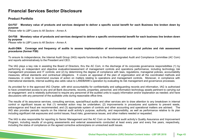## **Financial Services Sector Disclosure**

## **Material Topics Identified by Stakeholders Product Portfolio**

**G4-FS7 Monetary value of products and services designed to deliver a specific social benefit for each Business line broken down by purpose**

*Please refer to LBP Loans to All Sectors - Annex A.* 

#### ess line broken do<sup>,</sup> • Compliance G4-FS8 Monetary value of products and services designed to deliver a specific environmental benefit for each business line broken down<br>hy nurpose **by purpose**

• Risks, Impacts, Opportunities *Please refer to LBP Loans to All Sectors - Annex A.*  $\sum_{i=1}^{n} a_i$ 

#### Management Audit-DMA Coverage and frequency of audits to assess implementation of environmental and social policies and risk assessment<br>procedures (former ES9) **procedures (former FS9)**

Agreements To ensure its independence, the Internal Audit Group (IAG) reports functionally to the Board-designated Audit and Compliance Committee (AC Com)<br>and reports administratively to the President and CEO and reports administratively to the President and CEO.

management processes and IT controls; and (2) by determining the degree of compliance with laws, regulations, managerial policies, accountability<br>management processes and IT controller and (2) by determining the degree of measures, ennear etanaarde and completion exigencies. In covere an approach or the plan or eigenization and an the coordinated memode and measures, in order to recommend courses of action on matters relating to operations measures, in erast to recommend courses or astern on matters relating to operations and management controller moreover, in compilance, measures, ethical standards and contractual obligations. It covers an appraisal of the plan of organization and all the coordinated methods and<br>measures, in solar to recommend accreed of action or matters relating to conce  $\mathbf{r}$  is the set of  $\mathbf{r}$ The IAG plays a key role in assisting the Board of Directors, thru the AC Com, in the discharge of its corporate governance responsibilities (1) by performing an independent and objective evaluation/assessment of management controls and operations performance, including technology risk

As provided for in the approved IAG Charter, with strict accountability for confidentiality and safeguarding records and information, IAG is authorized to have unrestricted access to any and all Bank documents, records, properties, personnel, and information technology assets pertinent to carrying out an engagement and is relatedly authorized to require any personnel of the audited units to supply information and/or explanation as needed; and have<br>discussions with any personnel of the quditable units during reasonable e discussions with any personnel of the auditable units during reasonable office time.

redits and other services aim to draw attention to any breakdown in interretion control or significant issues so that (1) remedial action may be undertaken; (2) improvements in procedures and systems to prevent waste, This to provent where are added and the model of the model of the Mobile Bank in the Mobile Bank in the Mobile Bank in the Society IAG also provides periodic reports on the internal audit activity's purpose, authority, and responsibility, as well as performance relative to its plan<br>including significant rick expecures and central issues, fraud ricks, extravagance and fraud are recommended; and (3) appropriate system of controls and other accounting and operational matters are advised. The Internal Expediate and Common Reduce The results of its assurance services, consulting services, special/fraud audits and other services aim to draw attention to any breakdown in internal including significant risk exposures and control issues, fraud risks, governance issues, and other matters needed or requested.

ابورية<br>Com on the internal audit activity's Quality Assurance and Im The IAG is also responsible for reporting to Senior Management and the AC Com on the internal audit activity's Quality Assurance and Improvement Program, including results of on-going assessments and external assessments conducted at least every year and every five years, respectively, including the status of compliance on the agreed corrective actions/plans on unresolved audit issues.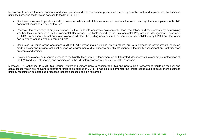Meanwhile, to ensure that environmental and social policies and risk assessment procedures are being complied with and implemented by business units, IAG provided the following services to the Bank in 2018:

- **Material Topics Identified by Stakeholders** Conducted risk-based operations audit of business units as part of its assurance services which covered, among others, compliance with EMS good practices implemented by the Bank
- quirements by de **Management-Department-** $\gamma$  EPMD and that oth  $\frac{1}{2}$  and  $\frac{1}{2}$  in projects imanced by the Bank with applicable environmental oupported by<br>Fion internal at documentary requirements are complied with • Risks, Impacts, Opportunities whether they are supported by Environmental Compliance Certificate issued by the Environmental Program and Management Department (EPMD). In addition, internal audit also validated whether the lending units ensured the conduct of site validations by EPMD and that other<br>documentery requirements are complied with Reviewed the conformity of projects financed by the Bank with applicable environmental laws, regulations and requirements by determining
- Conducted a limited scope operations audit of EPMD whose main functions, among others, are to implement the environmental policy on uncuono, an credit delivery and provide technical support on environmental due diligence and climate change vulnerability assessment on Bank-financed<br>programs and projects programs and projects.
- Provided assistance as resource persons to the Quality Management Department on its Integrated Management System project (integration of on Department on he midge<br>Issessments as one of the the EMS and QMS standards) and participated in the IMS internal assessments as one of the assessors.<br>.

units by focusing on selected sub-processes that are assessed as high risk areas. Moreover, IAG enhanced its Audit Risk Scoring System of business units to consider the Risk and Control Self-Assessment results on residual and actual losses which are relevant in prioritizing units to be audited in 2018. It had also implemented the limited scope audit to cover more business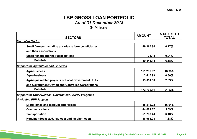## **MATERIAL TOPIC BY A LBP GROSS LOAN PORTFOLIO** *As of 31 December 2018*

(<del>P</del> Millions)

|                                                                |            | % SHARE TO                    |  |
|----------------------------------------------------------------|------------|-------------------------------|--|
| <b>SECTORS</b>                                                 |            | <b>AMOUNT</b><br><b>TOTAL</b> |  |
| <b>Mandated Sector</b>                                         |            |                               |  |
| Small farmers including agrarian reform beneficiaries          | 49,267.96  | 6.17%                         |  |
| and their associations                                         |            |                               |  |
| <b>Small fishers and their associations</b>                    | 78.18      | 0.01%                         |  |
| <b>Sub-Total</b>                                               | 49,346.14  | 6.18%                         |  |
| <b>Support for Agriculture and Fisheries</b>                   |            |                               |  |
| <b>Agri-business</b>                                           | 151,236.62 | 18.93%                        |  |
| <b>Aqua-business</b>                                           | 2,417.99   | 0.30%                         |  |
| Agri-aqua related projects of Local Government Units           | 19,051.50  | 2.39%                         |  |
| and Government Owned and Controlled Corporations               |            |                               |  |
| <b>Sub-Total</b>                                               | 172,706.11 | 21.62%                        |  |
| <b>Support for Other National Government Priority Programs</b> |            |                               |  |
| (Including PPP Projects)                                       |            |                               |  |
| Micro, small and medium enterprises                            | 135,312.22 | 16.94%                        |  |
| <b>Communications</b>                                          | 44,681.67  | 5.59%                         |  |
| <b>Transportation</b>                                          | 51,733.44  | 6.48%                         |  |
| Housing (Socialized, low-cost and medium-cost)                 | 58,965.93  | 7.38%                         |  |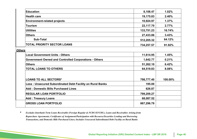| <b>Education</b>                                             | 8,108.47   | 1.02%   |
|--------------------------------------------------------------|------------|---------|
| <b>Health care</b>                                           | 19,175.83  | 2.40%   |
| <b>Environment-related projects</b>                          | 10,924.97  | 1.37%   |
| <b>Tourism</b>                                               | 22,117.70  | 2.77%   |
| <b>Utilities</b>                                             | 133,751.23 | 16.74%  |
| <b>Others</b>                                                | 27,433.86  | 3.43%   |
| Sub-Total                                                    | 512,205.32 | 64.12%  |
| <b>TOTAL PRIORITY SECTOR LOANS</b>                           | 734,257.57 | 91.92%  |
| <b>Others</b>                                                |            |         |
| <b>Local Government Units - Others</b>                       | 11,614.95  | 1.45%   |
| <b>Government Owned and Controlled Corporations - Others</b> | 1,642.77   | 0.21%   |
| <b>Others</b>                                                | 51,262.10  | 6.42%   |
| <b>TOTAL LOANS TO OTHERS</b>                                 | 64,519.83  | 8.08%   |
| <b>LOANS TO ALL SECTORS*</b>                                 | 798,777.40 | 100.00% |
| Less: Unsecured Subordinated Debt Facility on Rural Banks    | 195.00     |         |
| <b>Add: Domestic Bills Purchased Lines</b>                   | 626.87     |         |
| <b>REGULAR LOAN PORTFOLIO</b>                                | 799,209.27 |         |
| <b>Add: Treasury Loans</b>                                   | 68,087.52  |         |
| <b>GROSS LOAN PORTFOLIO</b>                                  | 867,296.79 |         |

extinues intervalue form bouns receivable (i vielga regular & i CDC/Li CDC/, bouns and receivables /<br>-<br>Repurchase Agreements, Certificates of Assignment/Darticipation with Recourse/Securities Lending and Re  $\mathbf{W}$  Washer Management Management Management Management Management Management Management Management Management Management Management Management Management Management Management Management Management Management Managem *Repurchase Agreements, Certificates of Assignment/Participation with Recourse/Securities Lending and Borrowing* **\*** *Excludes Interbank Term Loans Receivable (Foreign Regular & FCDU/EFCDU), Loans and Receivables Arising from Transactions, and Domestic Bills Purchased Lines; Includes Unsecured Subordinated Debt Facility on Rural Banks*

Stakeholder Type / Boundary: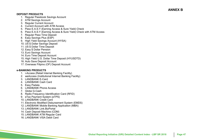#### **DEPOSIT PRODUCTS**

- 1. Regular Passbook Savings Account
- **Material Topics Identified by Stakeholders** 2. ATM Savings Account
- 3. Regular Current Account
- 4. Current Account with ATM Access
- **GE nERAL** 5. Peso E.A.S.Y (Earning Access & Sure Yield) Check
- 6. Peso E.A.S.Y (Earning Access & Sure Yield) Check with ATM Access
- 7. Regular Peso Time Deposit
- 8. Easy Savings Plus (ESP)
- • Risks, Impacts, Opportunities 9. High Yield Savings Account (HYSA)
- 10. US \$ Dollar Savings Deposit
- 11. US \$ Dollar Time Deposit
- 12. Easy \$ Dollar Pension
- 13. Euro Savings Account
- 14. Euro Time Deposit Account
- 15. High Yield U.S. Dollar Time Deposit (HYUSDTD)
- 16. Auto Save Deposit Account
- 17. Overseas Filipino (OF) Deposit Account

#### **e -BANKING PRODUCTS**

- 1. **i-Access (Retail Internet Banking Facility)**
- • Annual reporting, Economic 2. weAccess (Institutional Internet Banking Facility)
- 3. LANDBANK E-Card
- 4. LANDBANK Cash Card<br>5. E.s.: P.s.b.k
- 5. Easy Padala
- • Market Presence 6. LANDBANK Phone Access
- • Procurement Practices 7. Globe G -Cash
- 8. Radio Frequency Identification Card (RFID)
- 9. eTax Payment System (eTPS)
- 10. LANDBANK Credit Card
- 11. Electronic Modified D isbursement System (EMDS)
- **CONDITION CONSUMED BEFORE CONDITIONS**<br>**12. LANDBANK Mobile Banking Application (MBA)**
- 13. LANDBANK Link.BizPortal
- 14. Cash Deposit Machine (CDM)
- 15. LANDBANK ATM Regular Card
- 16. LANDBANK VISA Debit Card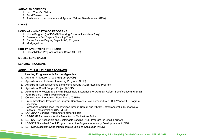#### **AGRARIAN SERVICES**

- 1. Land Transfer Claims
- 2. Bond Transactions
- **Material Topics Identified by Stakeholders** 3. Assistance to Landowners and Agrarian Reform Beneficiaries (ARBs)

#### **LOANS**

#### **HOUSING and MORTGAGE PROGRAMS**

- 1. Home Program (LANDBANK Housing Opportunities Made Easy)
- 2. Developers End Buyers Financing Tie-Up<br>。
- 3. Bahay Para sa Bagong Bayani (3-B) Program<br>4. Martasas Leen
- and Business Continuity Continuity Continuity Continuity Continuity Continuity Continuity Continuity Continuit 4. Mortgage Loan

#### **EQUITY INVESTMENT PROGRAMS**

1. Consolidation Program for Rural Banks (CPRB)

#### **MOBILE LOAN SAVER**

#### **LENDING PROGRAMS**

#### **AGRICULTURAL LENDING PROGRAMS**

- **I.** Lending Programs with Partner-Agencies
- 1. Agrarian Production Credit Program (APCP)
- 2. Agricultural and Fisheries Financing Program (AFFP)
- and Fisherico Pinaholity Program (Participa)<br>al Compotitivonees Enbeneement Eund (ACEE) Londing Program 3. Agricultural Competitiveness Enhancement Fund (ACEF) Lending Program
- er President an European crite and an antennancement<br>4. Agricultural Credit Support Project (ACSP)
- al Credit Support Project (ACSP)<br>h to Bootoro and Install Suptainable Enterprises for Agrerian Beform Benefic 5. Assistance to Restore and Install Sustainable Enterprises for Agrarian Reform Beneficiaries and Small Farm Holders (ARISE-ARBs) Program
- 6. Consolidation Program for Rural Banks (CPRB)
- Extension<br>..  $\sqrt{24}$  PPD)  $\frac{1}{2}$ 7. Credit Assistance Program for Program Beneficiaries Development (CAP-PBD) Window III Program
- riamessing Agnibusiness Opportunitie<br>Peaceful Transformation (HARVEST) 8. Harnessing Agribusiness Opportunities through Robust and Vibrant Entrepreneurship Supportive of
- 9. LANDBANK Lending Program for Former Rebels
- 10. LBP-BFAR Partnership for the Promotion of Mariculture Parks • Water consumption within the
- 11. LBP-DAR-DA Accessible and Sustainable Lending (ASL) Program for Small Farmers
- 12. LBP-SRA Socialized Credit Program under the Sugarcane Industry Development Act (SIDA)
- 13. LBP-NDA Masustansyang Inumin para sa Likas na Kalusugan (MILK) kan kang parang parang parang parang para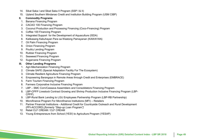- 14. Sikat Saka I and Sikat Saka II Program (SSP I & II)
- 15. Upland Southern Mindanao Credit and Institution Building Program (USM CIBP)

#### **Material Topics Identified by State Inc.**<br>There is a *Stageholder Discussion* **II. Commodity Programs**

- 1. Banana Financing Program
- 2. CACAO 100 Financing Program
- 3. Coconut Production and Processing Financing (Coco-Financing) Program  $\mathbb{P}^1(\mathbb{R}^d)$
- 4. Coffee 100 Financing Program
- 5. Integrated Support for the Development of Aquaculture (ISDA)
- ouppers for the Discreptment of Equational experience of the Supplement of Supplement of Adults and Kalifa Bar<br>In Kabuhayan Para sa Wastong Pamayanan (KAWAYAN) 6. Kalikasang Kabuhayan Para sa Wastong Pamayanan (KAWAYAN)
- 7. Oil Palm Financing Program
- and Business Continuity 8. Onion Financing Program
- 9. Poultry Lending Program
- 10. Rubber Financing Program
- 11. Seaweed Financing Program
- 12. Sugarcane Financing Program

#### **III. Other Lending Programs**

- 1. Agri-Mechanization Financing Program
- 2. Climate SAFE (Special Adaptation Facility For The Ecosystem)
- 3. Climate Resilient Agriculture Financing Program
- resing, and the constructing of egoc...<br>Ing Barangays in Remote Areas through Credit and Enterprises  $\mathbf{F} = \mathbf{F} \mathbf{F} \mathbf{F} + \mathbf{F} \mathbf{F} \mathbf{F}$ 4. Empowering Barangays in Remote Areas through Credit and Enterprises (EMBRACE)
- 5. Farm Tourism Financing Program
- Audit Committed Included Program<br>6. Farmers Corporative Inclusive Financing Program
- sorporative initiation of the region.<br>IC Corn/Cassava Assemblers and Consolidators Einancing Program. 7. LBP – SMC Corn/Cassava Assemblers and Consolidators Financing Program
- io compoassava Assemblers and consolidators i inancing Frogram<br>D Livestock Contract Growing and Shrimn Production Inclusive Einancing Pr 8. LBP-CPFP Livestock Contract Growing and Shrimp Production Inclusive Financing Program (LBP- $\mathbf{G}$ CPFP)
- 9. LBP-Rural Bank Lending to LGU Employees Partnership Program (LBP-RB Partnership)<br>0. Mierefinance Program Far Mierefinance Institutions (MEI). Petailare
- 10. Microfinance Program For Microfinance Institutions (MFI) Retailers
- 11. Partner Financial Institutions Additional Credit for Countryside Outreach and Rural Development Stakeholder Type / Boundary: (PFI-ACCORD) *[formerly "Step-up Loan Program"]*
- 12. Retail CLF CREAM / CLF CREAM
- 13. Young Entrepreneurs from School (YES!) to Agriculture Program (YESAP)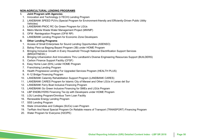#### **NON-AGRICULTURAL LENDING PROGRAMS**

- **I. Joint Program with Agencies**
- 1. Innovation and Technology (I-TECH) Lending Program
- 2. LANDBANK SPEED PUVs (Special Program for Environment-friendly and Efficiently-Driven Public Utility Vehicles)
- **GEnERAL** 3. LANDBANK-PNOC RC Go Green Program for LGUs
- • Anti-corruption 4. Metro Manila Waste Water Management Project (MWMP)
- 5. OFW Reintegration Program (OFW RP)
- 6. LANDBANK Lending Program for Economic Zone Developers

## II. Other Lending Programs

- 1. Access of Small Enterprises for Sound Lending Opportunities (ASENSO)
- 2. Bahay Para sa Bagong Bayani Program (3B) under HOME Program
- ی<br>Itional Flectrification Support Se 3. Bringing Inclusive Growth in Every Household Through National Electrification Support Services<br>פסשורים הי (BRIGHTNESS )
- age Engineer 4. Bringing Urbanization And Innovations Thru Landbank's Diverse Engineering Resources Support (BUILDERS)<br>5 Carbon Einance Support Eacility (CESE)
- 5. Carbon Finance Support Facility (CFSF)
- 6. Easy Home Loan (EHL) under HOME Program
- 7. Franchising Lending Program
- **E** 8. Health Progressive Lending For Upgraded Services Program (HEALTH PLUS)
- economic Unit<br>
19. K-12 Bridge Financing Program
- uge i manding i rogram<br>MK Calamity Rebabilitation Support Program (LANDRANK CAR 10. LANDBANK Calamity Rehabilitation Support Program (LANDBANK CARES)
- **PRIX Odiamity Terraphilation Odpport Frogram (ENTIDENTITY ONLY** 11. LANDBANK CARES Program for Islamic City of Marawi and Other LGUs in Lanao del Sur<br>49. LANDRANK Farra Bast Inclusive Financipa Program
- 1911 OAU<br>• MIZ E ----12. LANDBANK Ferry Boat Inclusive Financing Program
- $W(X \cap G)$  Doat more 13. LANDBANK Go Green Inclusive Financing for SMEs and LGUs Program
- $\frac{1}{2}$ Processing Practices Practices Practices Practices Practices Practices Practices Practices Practices Practices Practices Practices Practices Practices Practices Practices Practices Practices Practices Practices P 14. LBP ENDBUYERS Financing Tie-Up with Developers under HOME Program
- 15. LGU Lending Program/Omnibus Term Loan Facility
- 16. Renewable Energy Lending Program
- 17. SSS Lending Program
- 18. State Universities and Colleges (SUCs) Loan Program
- State Universities and Colleges (OOOs) Loan't Togram<br>TerPain And Naval Special Drogram On Peliable means of Transpor • Waste Management 19. TerRain And Naval Special Program On Reliable means of Transport (TRANSPORT) Financing Program
- Internal External External External External External External External External External External External External External External External External External External External External External External External Extern 20. Water Program for Everyone (H2OPE)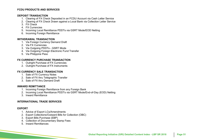#### **FCDU PRODUCTS AND SERVICES**

#### **DEPOSIT TRANSACTION**

- 1. Clearing of FX Check Deposited in an FCDU Account via Cash Letter Service<br>Check Check Object of TX Check Deposited in an FCDU Account via Cash Letter Service
- 2. Clearing of FX Check Drawn against a Local Bank via Collection Letter Service
- 3. FX Check
- **GEnERAL** 4. FX Currencies
- • Anti-corruption • Employment-Benefits-5. Incoming Local Remittance PDDTs via GSRT Mode/EOD Netting
- 6. Incoming Foreign Remittance

## **WITHDRAWAL TRANSACTION**

- 1. Via Foreign Currency Demand Draft
- 2. Via FX Currencies
- 3. Via Outgoing PDDTs GSRT Mode
- 4. Via Outgoing Foreign Electronic Fund Transfer
- 5. Via Philippine Peso

#### **FX CURRENCY PURCHASE TRANSACTION**

- 1. Outright Purchase of FX Currencies
- 2. Outright Purchase of FX Instruments

#### **FX CURRENCY SALE TRANSACTION**

- **ECONOMIC DEVICE IN ANOAC HON**<br>1. Sale of FX Currency Notes
- 2. Sale of FX thru Telegraphic Transfer
- 3. Sale of FX thru Demand Draft

#### **INWARD REMITTANCE**

- 1. Incoming Foreign Remittance from any Foreign Bank
- 2. Incoming Local Remittance PDDTs via GSRT Mode/End-of-Day (EOD) Netting
- 3. Inward Remittance

#### **INTERNATIONAL TRADE SERVICES**

#### $\mathbf T$  and  $\mathbf B$  boundary: **EXPORT**

- 1. Advice of Export LCs/Amendments
- 2. Export Collections/Outward Bills for Collection (OBC)
- 3. Export Bills Purchase (EBP)
- 4. Collection of Documentary Stamp Fees
- 5. Inward Remittances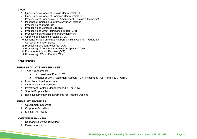#### **IMPORT**

- 1. Opening or Issuance of Foreign Commercial LC
- 2. Opening or Issuance of Domestic Commercial LC
- **Material Topics Identified by Stakeholders** 3. Processing of Commercial LC Amendment (Foreign & Domestic)
- 4. Issuance of Shipping Guaranty/Advance Release
- 5. Processing of Import Bills
- 6. Processing of Domestic Bills (DB)
- 7. Processing of Direct Remittance Import (DRI)
- 8. Processing of Advance Import Payments (AIP)<br>。。。
- 9. Opening of Issuance of Stand-By LC
- r issuarice or otariu-by L  $\mathcal{F}^{\mathcal{F}}_{\mathcal{F}}$  is the sum of the sum of the sum of the sum of the sum of the sum of the sum of the sum of the sum of the sum of the sum of the sum of the sum of the sum of the sum of the sum of the sum of the sum 10. Issuance of Guaranty (against Foreign Bank Counter – Guaranty
- 11. Collection of Import Duties
- 11. Sellection of import Battes<br>12. Processing of Open Accounts (O/A)
- 13. Processing of Documents Against Acceptance (D/A)
- 14. Documents Against Payment (D/P)
- 15. Processing of Trust Receipt (TR)

#### **INVESTMENTS**

#### **TRUST PRODUCTS AND SERVICES**

- 1. Trust Arrangements
	- a. Unit Investment Fund (UITF)
	- reproductive and (OTT *)*<br>rsonal Fquity & Retirement Account Unit Investment Trust Func b. Personal Equity & Retirement Account - Unit Investment Trust Fund (PERA-UITFs)<br>itutional Trust, Accounts
- 2. Institutional Trust Accounts
- er meadachar Hact Account
- er Carlo meadalisme, Cornecci
- Processe Practice International Contractions of the United States of the United States of the States of the S
- 6. Basic Documentary Requirements for Account Opening

#### **TREASURY PRODUCTS**

- 1. Government Securities
- 2. Corporate Securities
- 3. LANDBANK Issues

#### **INVESTMENT BANKING**

- 1. Debt and Equity Underwriting
- 2. Financial Advisory